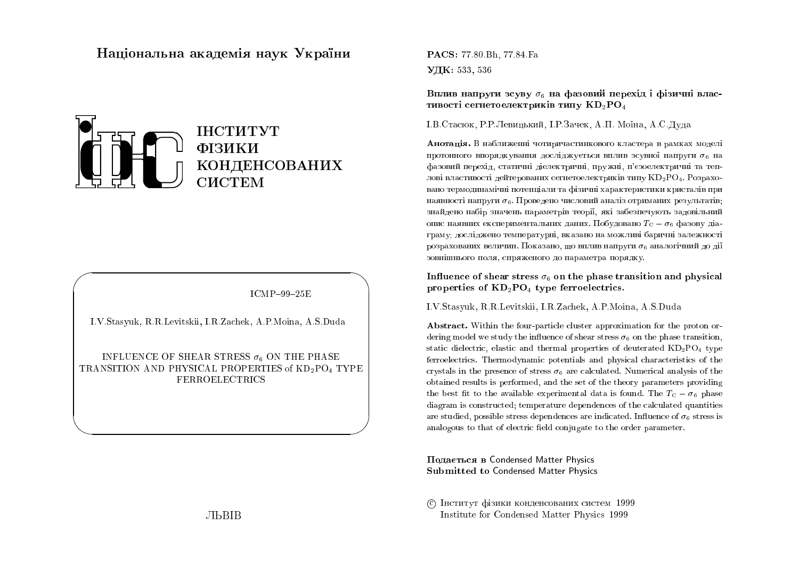# Національна академія наук України



 $ICMP-99-25E$ 

I.V.Stasyuk, R.R.Levitskii, I.R.Zachek, A.P.Moina, A.S.Duda

INFLUENCE OF SHEAR STRESS  $\sigma_6$  ON THE PHASE TRANSITION AND PHYSICAL PROPERTIES of KD<sub>2</sub>PO<sub>4</sub> TYPE **FERROELECTRICS** 

**PACS:** 77.80 Bh, 77.84 Fa УДК: 533, 536

Вплив напруги зсуву  $\sigma_6$  на фазовий перехід і фізичні властивості сегнетоелектриків типу  $KD_2PO_4$ 

І.В.Стасюк, Р.Р.Левицький, І.Р.Зачек, А.П. Моїна, А.С.Дуда

Анотація. В наближенні чотиричастинкового кластера в рамках моделі протонного впорядкування досліджується вплив зсувної напруги  $\sigma_6$  на фазовий перехід, статичні діелектричні, пружні, п'єзоелектричні та теплові властивості дейтерованих сегнетоелектриків типу KD<sub>2</sub>PO<sub>4</sub>. Розраховано термодинамічні потенціали та фізичні характеристики кристалів при наявності напруги  $\sigma_6$ . Проведено числовий аналіз отриманих результатів; знайдено набір значень параметрів теорії, які забезпечують задовільний опис наявних експериментальних даних. Побудовано  $T_{\rm C}-\sigma_6$  фазову діаграму; досліджено температурні, вказано на можливі баричні залежності розрахованих величин. Показано, що вплив напруги  $\sigma_6$  аналогічний до дії зовнішнього поля, спряженого до параметра порядку.

Influence of shear stress  $\sigma_6$  on the phase transition and physical properties of  $KD_2PO_4$  type ferroelectrics.

I.V.Stasyuk, R.R.Levitskii, I.R.Zachek, A.P.Moina, A.S.Duda

**Abstract.** Within the four-particle cluster approximation for the proton ordering model we study the influence of shear stress  $\sigma_6$  on the phase transition, static dielectric, elastic and thermal properties of deuterated  $KD_2PO_4$  type ferroelectrics. Thermodynamic potentials and physical characteristics of the crystals in the presence of stress  $\sigma_6$  are calculated. Numerical analysis of the obtained results is performed, and the set of the theory parameters providing the best fit to the available experimental data is found. The  $T_{\rm C} - \sigma_6$  phase diagram is constructed; temperature dependences of the calculated quantities are studied, possible stress dependences are indicated. Influence of  $\sigma_6$  stress is analogous to that of electric field conjugate to the order parameter.

Подається в Condensed Matter Physics **Submitted to Condensed Matter Physics** 

С Інститут фізики конденсованих систем 1999 Institute for Condensed Matter Physics 1999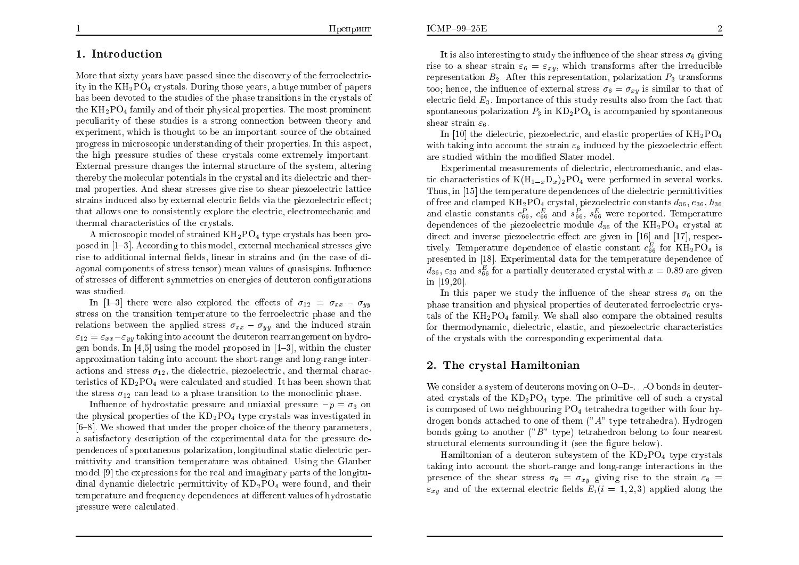### 1. Introduction

More that sixty years have passed since the discovery of the ferroelectricity in the  $KH_2PO_4$  crystals. During those years, a huge number of papers has been devoted to the studies of the phase transitions in the crystals of the  $KH_2PO_4$  family and of their physical properties. The most prominent peculiarity of these studies is a strong connection between theory and experiment, which is thought to be an important source of the obtained progress in microscopic understanding of their properties. In this aspect, the high pressure studies of these crystals come extremely important. External pressure changes the internal structure of the system, altering thereby the molecular potentials in the crystal and its dielectric and thermal properties. And shear stresses give rise to shear piezoelectric lattice strains induced also by external electric fields via the piezoelectric effect; that allows one to consistently explore the electric, electromechanic and thermal characteristics of the crystals.

A microscopic model of strained  $KH_2PO_4$  type crystals has been proposed in [1–3]. According to this model, external mechanical stresses give rise to additional internal fields, linear in strains and (in the case of diagonal components of stress tensor) mean values of quasispins. Influence of stresses of different symmetries on energies of deuteron configurations was studied.

In [1-3] there were also explored the effects of  $\sigma_{12} = \sigma_{xx} - \sigma_{yy}$ stress on the transition temperature to the ferroelectric phase and the relations between the applied stress  $\sigma_{xx} - \sigma_{yy}$  and the induced strain  $\varepsilon_{12} = \varepsilon_{xx} - \varepsilon_{yy}$  taking into account the deuteron rearrangement on hydrogen bonds. In [4,5] using the model proposed in  $[1-3]$ , within the cluster approximation taking into account the short-range and long-range interactions and stress  $\sigma_{12}$ , the dielectric, piezoelectric, and thermal characteristics of  $KD_2PO_4$  were calculated and studied. It has been shown that the stress  $\sigma_{12}$  can lead to a phase transition to the monoclinic phase.

Influence of hydrostatic pressure and uniaxial pressure  $-p = \sigma_3$  on the physical properties of the  $KD_2PO_4$  type crystals was investigated in  $[6-8]$ . We showed that under the proper choice of the theory parameters, a satisfactory description of the experimental data for the pressure dependences of spontaneous polarization, longitudinal static dielectric permittivity and transition temperature was obtained. Using the Glauber model [9] the expressions for the real and imaginary parts of the longitudinal dynamic dielectric permittivity of  $KD_2PO_4$  were found, and their temperature and frequency dependences at different values of hydrostatic pressure were calculated

It is also interesting to study the influence of the shear stress  $\sigma_6$  giving rise to a shear strain  $\varepsilon_6 = \varepsilon_{xy}$ , which transforms after the irreducible representation  $B_2$ . After this representation, polarization  $P_3$  transforms too; hence, the influence of external stress  $\sigma_6 = \sigma_{xy}$  is similar to that of electric field  $E_3$ . Importance of this study results also from the fact that spontaneous polarization  $P_3$  in  $KD_2PO_4$  is accompanied by spontaneous shear strain  $\varepsilon_6$ .

In [10] the dielectric, piezoelectric, and elastic properties of  $KH_{2}PO_{4}$ with taking into account the strain  $\varepsilon_6$  induced by the piezoelectric effect are studied within the modified Slater model.

Experimental measurements of dielectric, electromechanic, and elastic characteristics of  $K(H_{1-x}D_x)_2PO_4$  were performed in several works. Thus, in [15] the temperature dependences of the dielectric permittivities of free and clamped  $KH_2PO_4$  crystal, piezoelectric constants  $d_{36}$ ,  $e_{36}$ ,  $h_{36}$ and elastic constants  $c_{66}^P$ ,  $c_{66}^E$  and  $s_{66}^P$ ,  $s_{66}^E$  were reported. Temperature dependences of the piezoelectric module  $d_{36}$  of the  $KH_{2}PO_{4}$  crystal at direct and inverse piezoelectric effect are given in [16] and [17], respectively. Temperature dependence of elastic constant  $c_{66}^E$  for  $KH_2PO_4$  is presented in [18]. Experimental data for the temperature dependence of  $d_{36}$ ,  $\varepsilon_{33}$  and  $s_{66}^E$  for a partially deuterated crystal with  $x = 0.89$  are given in  $[19, 20]$ .

In this paper we study the influence of the shear stress  $\sigma_6$  on the phase transition and physical properties of deuterated ferroelectric crystals of the  $KH_2PO_4$  family. We shall also compare the obtained results for thermodynamic, dielectric, elastic, and piezoelectric characteristics of the crystals with the corresponding experimental data.

## 2. The crystal Hamiltonian

We consider a system of deuterons moving on  $O-D$ -...-O bonds in deuterated crystals of the  $KD_2PO_4$  type. The primitive cell of such a crystal is composed of two neighbouring  $PO<sub>4</sub>$  tetrahedra together with four hydrogen bonds attached to one of them  $(^\circ A^{\prime\prime})$  type tetrahedra). Hydrogen bonds going to another  $("B"$  type) tetrahedron belong to four nearest structural elements surrounding it (see the figure below).

Hamiltonian of a deuteron subsystem of the  $KD_2PO_4$  type crystals taking into account the short-range and long-range interactions in the presence of the shear stress  $\sigma_6 = \sigma_{xy}$  giving rise to the strain  $\varepsilon_6$  =  $\varepsilon_{xu}$  and of the external electric fields  $E_i(i = 1, 2, 3)$  applied along the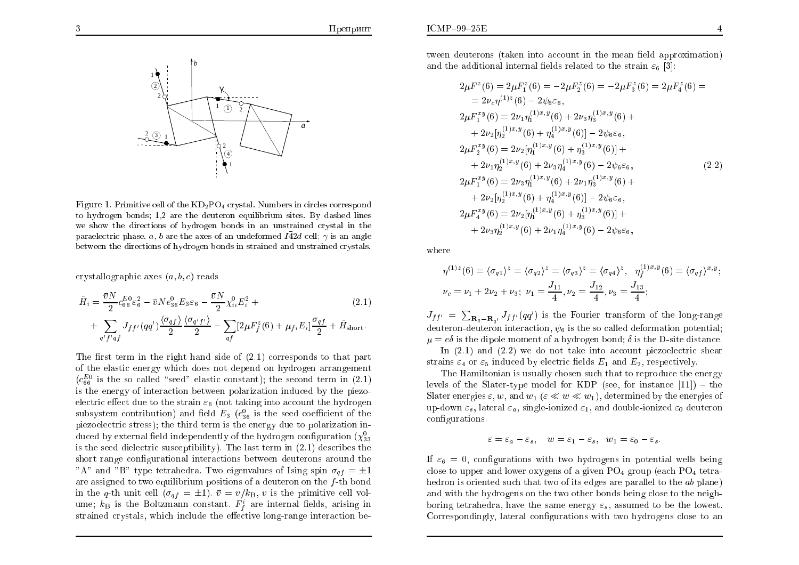

Figure 1. Primitive cell of the  $KD_2PO_4$  crystal. Numbers in circles correspond to hydrogen bonds; 1,2 are the deuteron equilibrium sites. By dashed lines we show the directions of hydrogen bonds in an unstrained crystal in the paraelectric phase. a, b are the axes of an undeformed  $I\overline{4}2d$  cell;  $\gamma$  is an angle between the directions of hydrogen bonds in strained and unstrained crystals.

crystallographic axes  $(a, b, c)$  reads

$$
\hat{H}_{i} = \frac{\bar{v}N}{2} c_{66}^{E0} \varepsilon_{6}^{2} - \bar{v}Ne_{36}^{0} E_{3}\varepsilon_{6} - \frac{\bar{v}N}{2} \chi_{ii}^{0} E_{i}^{2} + \n+ \sum_{q'f'qf} J_{ff'} (qq') \frac{\langle \sigma_{qf} \rangle}{2} \frac{\langle \sigma_{q'f'} \rangle}{2} - \sum_{qf} \left[ 2\mu F_{f}^{z}(6) + \mu_{fi} E_{i} \right] \frac{\sigma_{qf}}{2} + \hat{H}_{short}.
$$
\n(2.1)

The first term in the right hand side of  $(2.1)$  corresponds to that part of the elastic energy which does not depend on hydrogen arrangement  $(c_{66}^{E0})$  is the so called "seed" elastic constant); the second term in (2.1) is the energy of interaction between polarization induced by the piezoelectric effect due to the strain  $\varepsilon_6$  (not taking into account the hydrogen subsystem contribution) and field  $E_3$  ( $e_{36}^0$  is the seed coefficient of the piezoelectric stress); the third term is the energy due to polarization induced by external field independently of the hydrogen configuration  $(\chi^0_{33})$ is the seed dielectric susceptibility). The last term in  $(2.1)$  describes the short range configurational interactions between deuterons around the "A" and "B" type tetrahedra. Two eigenvalues of Ising spin  $\sigma_{af} = \pm 1$ are assigned to two equilibrium positions of a deuteron on the f-th bond in the q-th unit cell ( $\sigma_{qf} = \pm 1$ ).  $\bar{v} = v/k_B$ , v is the primitive cell volume;  $k_B$  is the Boltzmann constant.  $F_f^i$  are internal fields, arising in strained crystals, which include the effective long-range interaction between deuterons (taken into account in the mean field approximation) and the additional internal fields related to the strain  $\varepsilon_6$  [3]:

$$
2\mu F^{z}(6) = 2\mu F_{1}^{z}(6) = -2\mu F_{2}^{z}(6) = -2\mu F_{3}^{z}(6) = 2\mu F_{4}^{z}(6) =
$$
  
\n
$$
= 2\nu_{c}\eta^{(1)z}(6) - 2\psi_{6}\varepsilon_{6},
$$
  
\n
$$
2\mu F_{1}^{xy}(6) = 2\nu_{1}\eta_{1}^{(1)x,y}(6) + 2\nu_{3}\eta_{3}^{(1)x,y}(6) +
$$
  
\n
$$
+ 2\nu_{2}[\eta_{2}^{(1)x,y}(6) + \eta_{4}^{(1)x,y}(6)] - 2\psi_{6}\varepsilon_{6},
$$
  
\n
$$
2\mu F_{2}^{xy}(6) = 2\nu_{2}[\eta_{1}^{(1)x,y}(6) + \eta_{3}^{(1)x,y}(6)] +
$$
  
\n
$$
+ 2\nu_{1}\eta_{2}^{(1)x,y}(6) + 2\nu_{3}\eta_{4}^{(1)x,y}(6) - 2\psi_{6}\varepsilon_{6},
$$
  
\n
$$
2\mu F_{1}^{xy}(6) = 2\nu_{3}\eta_{1}^{(1)x,y}(6) + 2\nu_{1}\eta_{3}^{(1)x,y}(6) +
$$
  
\n
$$
+ 2\nu_{2}[\eta_{2}^{(1)x,y}(6) + \eta_{4}^{(1)x,y}(6)] - 2\psi_{6}\varepsilon_{6},
$$
  
\n
$$
2\mu F_{4}^{xy}(6) = 2\nu_{2}[\eta_{1}^{(1)x,y}(6) + \eta_{3}^{(1)x,y}(6)] +
$$
  
\n
$$
+ 2\nu_{3}\eta_{2}^{(1)x,y}(6) + 2\nu_{1}\eta_{4}^{(1)x,y}(6) - 2\psi_{6}\varepsilon_{6},
$$

where

$$
\eta^{(1)z}(6) = \langle \sigma_{q1} \rangle^z = \langle \sigma_{q2} \rangle^z = \langle \sigma_{q3} \rangle^z = \langle \sigma_{q4} \rangle^z, \quad \eta_f^{(1)x,y}(6) = \langle \sigma_{qf} \rangle^{x,y}
$$

$$
\nu_c = \nu_1 + 2\nu_2 + \nu_3; \quad \nu_1 = \frac{J_{11}}{4}, \quad \nu_2 = \frac{J_{12}}{4}, \quad \nu_3 = \frac{J_{13}}{4};
$$

 $J_{ff'} = \sum_{\mathbf{R}_{q} - \mathbf{R}_{q'}} J_{ff'}(qq')$  is the Fourier transform of the long-range deuteron-deuteron interaction,  $\psi_6$  is the so called deformation potential;  $\mu = e\delta$  is the dipole moment of a hydrogen bond;  $\delta$  is the D-site distance.

In  $(2.1)$  and  $(2.2)$  we do not take into account piezoelectric shear strains  $\varepsilon_4$  or  $\varepsilon_5$  induced by electric fields  $E_1$  and  $E_2$ , respectively.

The Hamiltonian is usually chosen such that to reproduce the energy levels of the Slater-type model for KDP (see, for instance  $[11]$ ) – the Slater energies  $\varepsilon, w$ , and  $w_1$  ( $\varepsilon \ll w \ll w_1$ ), determined by the energies of up-down  $\varepsilon_s$ , lateral  $\varepsilon_a$ , single-ionized  $\varepsilon_1$ , and double-ionized  $\varepsilon_0$  deuteron configurations.

$$
\varepsilon=\varepsilon_a-\varepsilon_s,\quad w=\varepsilon_1-\varepsilon_s,\ \ w_1=\varepsilon_0-\varepsilon_s.
$$

If  $\varepsilon_6 = 0$ , configurations with two hydrogens in potential wells being close to upper and lower oxygens of a given  $PO<sub>4</sub>$  group (each  $PO<sub>4</sub>$  tetrahedron is oriented such that two of its edges are parallel to the ab plane) and with the hydrogens on the two other bonds being close to the neighboring tetrahedra, have the same energy  $\varepsilon_s$ , assumed to be the lowest. Correspondingly, lateral configurations with two hydrogens close to an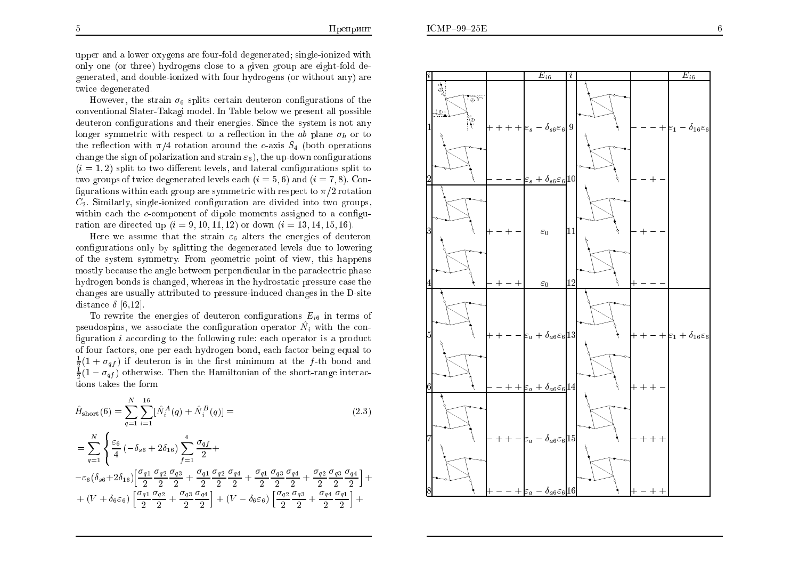upper and a lower oxygens are four-fold degenerated; single-ionized with only one (or three) hydrogens close to a given group are eight-fold degenerated, and double-ionized with four hydrogens (or without any) are twice degenerated.

However, the strain  $\sigma_6$  splits certain deuteron configurations of the conventional Slater-Takagi model. In Table below we present all possible deuteron configurations and their energies. Since the system is not any longer symmetric with respect to a reflection in the ab plane  $\sigma_h$  or to the reflection with  $\pi/4$  rotation around the c-axis  $S_4$  (both operations change the sign of polarization and strain  $\varepsilon_6$ , the up-down configurations  $(i = 1, 2)$  split to two different levels, and lateral configurations split to two groups of twice degenerated levels each  $(i = 5, 6)$  and  $(i = 7, 8)$ . Configurations within each group are symmetric with respect to  $\pi/2$  rotation  $C_2$ . Similarly, single-ionized configuration are divided into two groups, within each the  $c$ -component of dipole moments assigned to a configuration are directed up  $(i = 9, 10, 11, 12)$  or down  $(i = 13, 14, 15, 16)$ .

Here we assume that the strain  $\varepsilon_6$  alters the energies of deuteron configurations only by splitting the degenerated levels due to lowering of the system symmetry. From geometric point of view, this happens mostly because the angle between perpendicular in the paraelectric phase hydrogen bonds is changed, whereas in the hydrostatic pressure case the changes are usually attributed to pressure-induced changes in the D-site distance  $\delta$  [6,12].

To rewrite the energies of deuteron configurations  $E_{i6}$  in terms of pseudospins, we associate the configuration operator  $\hat{N}_i$  with the configuration  $i$  according to the following rule: each operator is a product of four factors, one per each hydrogen bond, each factor being equal to  $\frac{1}{2}(1 + \sigma_{af})$  if deuteron is in the first minimum at the f-th bond and  $\frac{1}{2}(1-\sigma_{af})$  otherwise. Then the Hamiltonian of the short-range interactions takes the form

$$
\hat{H}_{\text{short}}(6) = \sum_{q=1}^{N} \sum_{i=1}^{16} [\hat{N}_{i}^{A}(q) + \hat{N}_{i}^{B}(q)] =
$$
\n(2.3)

$$
\begin{split} & =\sum_{q=1}^{N}\Bigg\{\frac{\varepsilon_{6}}{4}\left(-\delta_{s6}+2\delta_{16}\right)\sum_{f=1}^{4}\frac{\sigma_{qf}}{2}+\\ & -\varepsilon_{6}\big(\delta_{s6}+2\delta_{16}\big)\bigg[\frac{\sigma_{q1}}{2}\frac{\sigma_{q2}}{2}\frac{\sigma_{q3}}{2}+\frac{\sigma_{q1}}{2}\frac{\sigma_{q2}}{2}\frac{\sigma_{q4}}{2}+\frac{\sigma_{q1}}{2}\frac{\sigma_{q3}}{2}\frac{\sigma_{q4}}{2}+\frac{\sigma_{q2}}{2}\frac{\sigma_{q3}}{2}\frac{\sigma_{q4}}{2}\bigg]+\\ & +\left(V+\delta_{6}\varepsilon_{6}\right)\bigg[\frac{\sigma_{q1}}{2}\frac{\sigma_{q2}}{2}+\frac{\sigma_{q3}}{2}\frac{\sigma_{q4}}{2}\bigg]+ \left(V-\delta_{6}\varepsilon_{6}\right)\bigg[\frac{\sigma_{q2}}{2}\frac{\sigma_{q3}}{2}+\frac{\sigma_{q4}}{2}\frac{\sigma_{q1}}{2}\bigg]+ \end{split}
$$

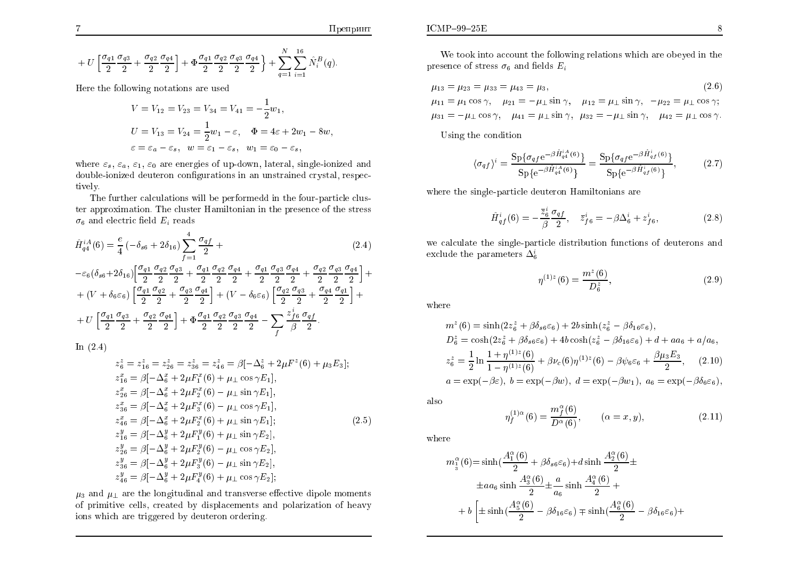$$
+ U \left[ \frac{\sigma_{q1}}{2} \frac{\sigma_{q3}}{2} + \frac{\sigma_{q2}}{2} \frac{\sigma_{q4}}{2} \right] + \Phi \frac{\sigma_{q1}}{2} \frac{\sigma_{q2}}{2} \frac{\sigma_{q3}}{2} \frac{\sigma_{q4}}{2} + \sum_{q=1}^{N} \sum_{i=1}^{16} \hat{N}_{i}^{B}(q).
$$

Here the following notations are used

$$
V = V_{12} = V_{23} = V_{34} = V_{41} = -\frac{1}{2}w_1,
$$
  
\n
$$
U = V_{13} = V_{24} = \frac{1}{2}w_1 - \varepsilon, \quad \Phi = 4\varepsilon + 2w_1 - 8w,
$$
  
\n
$$
\varepsilon = \varepsilon_a - \varepsilon_s, \quad w = \varepsilon_1 - \varepsilon_s, \quad w_1 = \varepsilon_0 - \varepsilon_s,
$$

where  $\varepsilon_s$ ,  $\varepsilon_a$ ,  $\varepsilon_1$ ,  $\varepsilon_0$  are energies of up-down, lateral, single-ionized and double-ionized deuteron configurations in an unstrained crystal, respectively.

The further calculations will be performedd in the four-particle cluster approximation. The cluster Hamiltonian in the presence of the stress  $\sigma_6$  and electric field  $E_i$  reads

$$
\hat{H}_{q4}^{iA}(6) = \frac{e}{4} \left( -\delta_{s6} + 2\delta_{16} \right) \sum_{f=1}^{4} \frac{\sigma_{qf}}{2} + \tag{2.4}
$$

$$
-\varepsilon_6(\delta_{s6}+2\delta_{16})\left[\frac{\sigma_{q1}}{2}\frac{\sigma_{q2}}{2}\frac{\sigma_{q3}}{2}+\frac{\sigma_{q1}}{2}\frac{\sigma_{q2}}{2}\frac{\sigma_{q4}}{2}+\frac{\sigma_{q1}}{2}\frac{\sigma_{q3}}{2}\frac{\sigma_{q4}}{2}+\frac{\sigma_{q2}}{2}\frac{\sigma_{q4}}{2}+\frac{\sigma_{q2}}{2}\frac{\sigma_{q3}}{2}\frac{\sigma_{q4}}{2}\right]++ (V+\delta_{6}\varepsilon_6)\left[\frac{\sigma_{q1}}{2}\frac{\sigma_{q2}}{2}+\frac{\sigma_{q3}}{2}\frac{\sigma_{q4}}{2}\right]+ (V-\delta_{6}\varepsilon_6)\left[\frac{\sigma_{q2}}{2}\frac{\sigma_{q3}}{2}+\frac{\sigma_{q4}}{2}\frac{\sigma_{q1}}{2}\right]++ U\left[\frac{\sigma_{q1}}{2}\frac{\sigma_{q3}}{2}+\frac{\sigma_{q2}}{2}\frac{\sigma_{q4}}{2}\right]+ \Phi\frac{\sigma_{q1}}{2}\frac{\sigma_{q2}}{2}\frac{\sigma_{q3}}{2}\frac{\sigma_{q4}}{2}-\sum_{f}\frac{z_{f6}^{i}}{\beta}\frac{\sigma_{qf}}{2}.
$$

In  $(2.4)$ 

-7

$$
z_6^z = z_{16}^z = z_{26}^z = z_{36}^z = z_{46}^z = \beta[-\Delta_6^z + 2\mu F^z(6) + \mu_3 E_3];
$$
  
\n
$$
z_{16}^x = \beta[-\Delta_6^x + 2\mu F_1^x(6) + \mu_\perp \cos \gamma E_1],
$$
  
\n
$$
z_{26}^x = \beta[-\Delta_6^x + 2\mu F_2^x(6) - \mu_\perp \sin \gamma E_1],
$$
  
\n
$$
z_{36}^x = \beta[-\Delta_6^x + 2\mu F_3^x(6) - \mu_\perp \cos \gamma E_1],
$$
  
\n
$$
z_{46}^x = \beta[-\Delta_6^x + 2\mu F_2^x(6) + \mu_\perp \sin \gamma E_1];
$$
  
\n
$$
z_{16}^y = \beta[-\Delta_6^y + 2\mu F_1^y(6) + \mu_\perp \sin \gamma E_2],
$$
  
\n
$$
z_{26}^y = \beta[-\Delta_6^y + 2\mu F_2^y(6) - \mu_\perp \cos \gamma E_2],
$$
  
\n
$$
z_{36}^y = \beta[-\Delta_6^y + 2\mu F_3^y(6) - \mu_\perp \sin \gamma E_2],
$$
  
\n
$$
z_{46}^y = \beta[-\Delta_6^y + 2\mu F_4^y(6) + \mu_\perp \cos \gamma E_2];
$$

 $\mu_3$  and  $\mu_{\perp}$  are the longitudinal and transverse effective dipole moments of primitive cells, created by displacements and polarization of heavy ions which are triggered by deuteron ordering.

We took into account the following relations which are obeyed in the presence of stress  $\sigma_6$  and fields  $E_i$ 

$$
\mu_{13} = \mu_{23} = \mu_{33} = \mu_{43} = \mu_3,\tag{2.6}
$$

 $\mu_{11} = \mu_1 \cos \gamma$ ,  $\mu_{21} = -\mu_{\perp} \sin \gamma$ ,  $\mu_{12} = \mu_{\perp} \sin \gamma$ ,  $-\mu_{22} = \mu_{\perp} \cos \gamma$ ;  $\mu_{31} = -\mu_{\perp} \cos \gamma$ ,  $\mu_{41} = \mu_{\perp} \sin \gamma$ ,  $\mu_{32} = -\mu_{\perp} \sin \gamma$ ,  $\mu_{42} = \mu_{\perp} \cos \gamma$ .

Using the condition

$$
\langle \sigma_{qf} \rangle^{i} = \frac{\text{Sp}\{\sigma_{qf}e^{-\beta \hat{H}_{q4}^{iA}(6)}\}}{\text{Sp}\{e^{-\beta \hat{H}_{q4}^{iA}(6)}\}} = \frac{\text{Sp}\{\sigma_{qf}e^{-\beta \hat{H}_{qf}^{i}(6)}\}}{\text{Sp}\{e^{-\beta \hat{H}_{qf}^{i}(6)}\}},
$$
(2.7)

where the single-particle deuteron Hamiltonians are

$$
\hat{H}_{qf}^{i}(6) = -\frac{\bar{z}_{6}^{i}}{\beta} \frac{\sigma_{qf}}{2}, \quad \bar{z}_{f6}^{i} = -\beta \Delta_{6}^{i} + z_{f6}^{i}, \tag{2.8}
$$

we calculate the single-particle distribution functions of deuterons and exclude the parameters  $\Delta_6^i$ 

$$
\eta^{(1)z}(6) = \frac{m^z(6)}{D_6^z},\tag{2.9}
$$

where

$$
m^{z}(6) = \sinh(2z_{6}^{z} + \beta \delta_{s6} \varepsilon_{6}) + 2b \sinh(z_{6}^{z} - \beta \delta_{16} \varepsilon_{6}),
$$
  
\n
$$
D_{6}^{z} = \cosh(2z_{6}^{z} + \beta \delta_{s6} \varepsilon_{6}) + 4b \cosh(z_{6}^{z} - \beta \delta_{16} \varepsilon_{6}) + d + aa_{6} + a/a_{6},
$$
  
\n
$$
z_{6}^{z} = \frac{1}{2} \ln \frac{1 + \eta^{(1)z}(6)}{1 - \eta^{(1)z}(6)} + \beta \nu_{c}(6)\eta^{(1)z}(6) - \beta \psi_{6} \varepsilon_{6} + \frac{\beta \mu_{3} E_{3}}{2},
$$
\n
$$
a = \exp(-\beta \varepsilon), b = \exp(-\beta w), d = \exp(-\beta w_{1}), a_{6} = \exp(-\beta \delta_{6} \varepsilon_{6}),
$$

also

$$
\eta_f^{(1)\alpha}(6) = \frac{m_f^{\alpha}(6)}{D^{\alpha}(6)}, \qquad (\alpha = x, y), \tag{2.11}
$$

where

$$
m_1^{\alpha}(6) = \sinh(\frac{A_1^{\alpha}(6)}{2} + \beta \delta_{s6} \varepsilon_6) + d \sinh \frac{A_2^{\alpha}(6)}{2} \pm
$$
  
\n
$$
\pm a a_6 \sinh \frac{A_3^{\alpha}(6)}{2} \pm \frac{a}{a_6} \sinh \frac{A_4^{\alpha}(6)}{2} +
$$
  
\n
$$
+ b \left[ \pm \sinh(\frac{A_5^{\alpha}(6)}{2} - \beta \delta_{16} \varepsilon_6) \mp \sinh(\frac{A_6^{\alpha}(6)}{2} - \beta \delta_{16} \varepsilon_6) + \cdots \right]
$$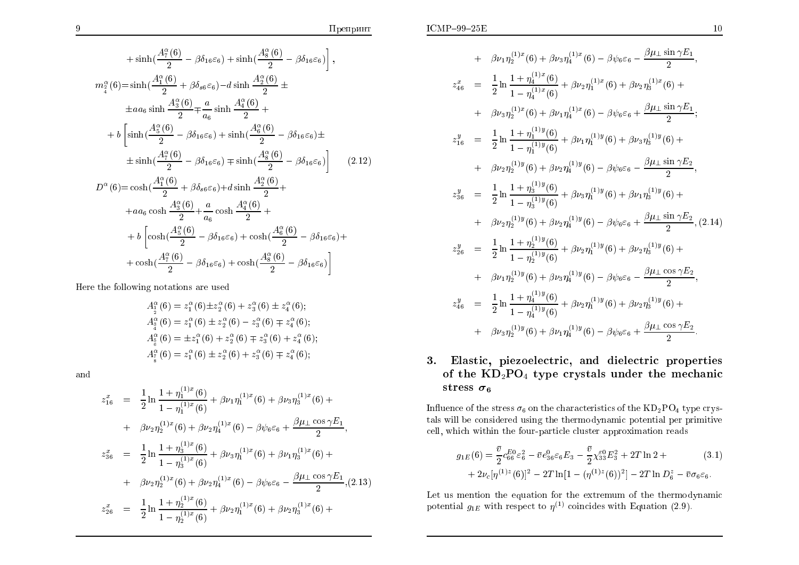$$
+\sinh\left(\frac{A_{7}^{\alpha}(6)}{2}-\beta\delta_{16}\varepsilon_{6}\right)+\sinh\left(\frac{A_{8}^{\alpha}(6)}{2}-\beta\delta_{16}\varepsilon_{6}\right)\right],
$$
\n
$$
m_{4}^{\alpha}(6)=\sinh\left(\frac{A_{1}^{\alpha}(6)}{2}+\beta\delta_{s6}\varepsilon_{6}\right)-d\sinh\frac{A_{2}^{\alpha}(6)}{2}\pm
$$
\n
$$
\pm aa_{6}\sinh\frac{A_{3}^{\alpha}(6)}{2}+\frac{a}{a_{6}}\sinh\frac{A_{4}^{\alpha}(6)}{2}+\cdots+\frac{b\left[\sinh\left(\frac{A_{5}^{\alpha}(6)}{2}-\beta\delta_{16}\varepsilon_{6}\right)+\sinh\left(\frac{A_{6}^{\alpha}(6)}{2}-\beta\delta_{16}\varepsilon_{6}\right)\pm\right.\pm\sinh\left(\frac{A_{7}^{\alpha}(6)}{2}-\beta\delta_{16}\varepsilon_{6}\right)+\sinh\left(\frac{A_{8}^{\alpha}(6)}{2}-\beta\delta_{16}\varepsilon_{6}\right)\right]
$$
\n
$$
D^{\alpha}(6)=\cosh\left(\frac{A_{1}^{\alpha}(6)}{2}+\beta\delta_{s6}\varepsilon_{6}\right)+d\sinh\frac{A_{2}^{\alpha}(6)}{2}+\right.
$$
\n
$$
+aa_{6}\cosh\frac{A_{3}^{\alpha}(6)}{2}+\frac{a}{a_{6}}\cosh\frac{A_{4}^{\alpha}(6)}{2}+\right.
$$
\n
$$
+b\left[\cosh\left(\frac{A_{5}^{\alpha}(6)}{2}-\beta\delta_{16}\varepsilon_{6}\right)+\cosh\left(\frac{A_{6}^{\alpha}(6)}{2}-\beta\delta_{16}\varepsilon_{6}\right)+\right.
$$
\n
$$
+cosh\left(\frac{A_{7}^{\alpha}(6)}{2}-\beta\delta_{16}\varepsilon_{6}\right)+\cosh\left(\frac{A_{8}^{\alpha}(6)}{2}-\beta\delta_{16}\varepsilon_{6}\right)
$$

Here the following notations are used

$$
A_2^{\alpha}(6) = z_1^{\alpha}(6) \pm z_2^{\alpha}(6) + z_3^{\alpha}(6) \pm z_4^{\alpha}(6);
$$
  
\n
$$
A_3^{\alpha}(6) = z_1^{\alpha}(6) \pm z_2^{\alpha}(6) - z_3^{\alpha}(6) \mp z_4^{\alpha}(6);
$$
  
\n
$$
A_8^{\alpha}(6) = \pm z_1^{\alpha}(6) + z_2^{\alpha}(6) \mp z_3^{\alpha}(6) + z_4^{\alpha}(6);
$$
  
\n
$$
A_7^{\alpha}(6) = z_1^{\alpha}(6) \pm z_2^{\alpha}(6) + z_3^{\alpha}(6) \mp z_4^{\alpha}(6);
$$

and

$$
z_{16}^{x} = \frac{1}{2} \ln \frac{1 + \eta_{1}^{(1)x}(6)}{1 - \eta_{1}^{(1)x}(6)} + \beta \nu_{1} \eta_{1}^{(1)x}(6) + \beta \nu_{3} \eta_{3}^{(1)x}(6) +
$$
  
+  $\beta \nu_{2} \eta_{2}^{(1)x}(6) + \beta \nu_{2} \eta_{4}^{(1)x}(6) - \beta \psi_{6} \varepsilon_{6} + \frac{\beta \mu_{\perp} \cos \gamma E_{1}}{2},$   

$$
z_{36}^{x} = \frac{1}{2} \ln \frac{1 + \eta_{3}^{(1)x}(6)}{1 - \eta_{3}^{(1)x}(6)} + \beta \nu_{3} \eta_{1}^{(1)x}(6) + \beta \nu_{1} \eta_{3}^{(1)x}(6) +
$$
  
+  $\beta \nu_{2} \eta_{2}^{(1)x}(6) + \beta \nu_{2} \eta_{4}^{(1)x}(6) - \beta \psi_{6} \varepsilon_{6} - \frac{\beta \mu_{\perp} \cos \gamma E_{1}}{2}, (2.13)$   

$$
z_{26}^{x} = \frac{1}{2} \ln \frac{1 + \eta_{2}^{(1)x}(6)}{1 - \eta_{2}^{(1)x}(6)} + \beta \nu_{2} \eta_{1}^{(1)x}(6) + \beta \nu_{2} \eta_{3}^{(1)x}(6) +
$$

+ 
$$
\beta \nu_1 \eta_2^{(1)x}(6) + \beta \nu_3 \eta_4^{(1)x}(6) - \beta \psi_6 \varepsilon_6 - \frac{\beta \mu_1 \sin \gamma E_1}{2},
$$
  
\n
$$
z_{46}^x = \frac{1}{2} \ln \frac{1 + \eta_4^{(1)x}(6)}{1 - \eta_4^{(1)x}(6)} + \beta \nu_2 \eta_1^{(1)x}(6) + \beta \nu_2 \eta_3^{(1)x}(6) + \beta \nu_3 \eta_2^{(1)x}(6) + \beta \nu_1 \eta_4^{(1)x}(6) - \beta \psi_6 \varepsilon_6 + \frac{\beta \mu_1 \sin \gamma E_1}{2};
$$
\n
$$
z_{16}^y = \frac{1}{2} \ln \frac{1 + \eta_1^{(1)y}(6)}{1 - \eta_1^{(1)y}(6)} + \beta \nu_1 \eta_1^{(1)y}(6) + \beta \nu_3 \eta_3^{(1)y}(6) + \beta \nu_2 \eta_2^{(1)y}(6) + \beta \nu_2 \eta_2^{(1)y}(6) + \beta \nu_2 \eta_4^{(1)y}(6) - \beta \psi_6 \varepsilon_6 - \frac{\beta \mu_1 \sin \gamma E_2}{2},
$$
\n
$$
z_{36}^y = \frac{1}{2} \ln \frac{1 + \eta_3^{(1)y}(6)}{1 - \eta_3^{(1)y}(6)} + \beta \nu_3 \eta_1^{(1)y}(6) + \beta \nu_1 \eta_3^{(1)y}(6) + \beta \nu_2 \eta_2^{(1)y}(6) + \beta \nu_2 \eta_2^{(1)y}(6) + \beta \nu_2 \eta_4^{(1)y}(6) - \beta \psi_6 \varepsilon_6 + \frac{\beta \mu_1 \sin \gamma E_2}{2},
$$
\n
$$
z_{26}^y = \frac{1}{2} \ln \frac{1 + \eta_2^{(1)y}(6)}{1 - \eta_2^{(1)y}(6)} + \beta \nu_2 \eta_1^{(1)y}(6) + \beta \nu_2 \eta_3^{(1)y}(6) + \beta \nu_1 \eta_2^{(1)y}(6) + \beta \nu_1 \eta_2^{(1)y}(6) + \beta \nu_1 \eta_2^{(1)y}(6) + \beta \nu_2 \eta_3^{(1)y}(6) + \beta \nu_3 \eta
$$

# 3. Elastic, piezoelectric, and dielectric properties of the  $KD_2PO_4$  type crystals under the mechanic stress  $\sigma_6$

Influence of the stress  $\sigma_6$  on the characteristics of the  $KD_2PO_4$  type crystals will be considered using the thermodynamic potential per primitive cell, which within the four-particle cluster approximation reads

$$
g_{1E}(6) = \frac{\bar{v}}{2} c_{66}^{E_0} \varepsilon_6^2 - \bar{v} e_{36}^0 \varepsilon_6 E_3 - \frac{\bar{v}}{2} \chi_{33}^{\varepsilon_0} E_3^2 + 2T \ln 2 + + 2\nu_c [\eta^{(1)z}(6)]^2 - 2T \ln[1 - (\eta^{(1)z}(6))^2] - 2T \ln D_6^z - \bar{v} \sigma_6 \varepsilon_6.
$$
 (3.1)

Let us mention the equation for the extremum of the thermodynamic potential  $g_{1E}$  with respect to  $\eta^{(1)}$  coincides with Equation (2.9).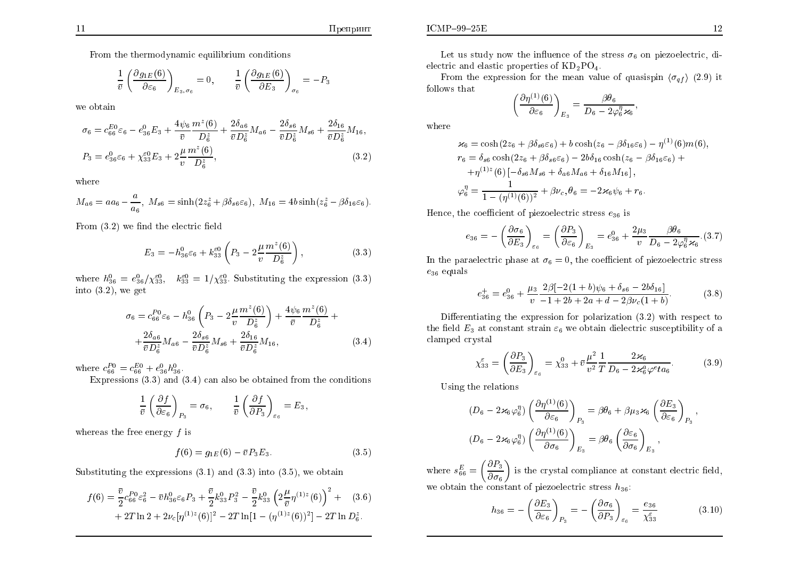From the thermodynamic equilibrium conditions

$$
\frac{1}{\bar{v}} \left( \frac{\partial g_{1E}(6)}{\partial \varepsilon_6} \right)_{E_3, \sigma_6} = 0, \qquad \frac{1}{\bar{v}} \left( \frac{\partial g_{1E}(6)}{\partial E_3} \right)_{\sigma_6} = -P_3
$$

we obtain

$$
\sigma_6 = c_{66}^{E0} \varepsilon_6 - e_{36}^0 E_3 + \frac{4\psi_6}{\bar{v}} \frac{m^2(6)}{D^2_{6}} + \frac{2\delta_{a6}}{\bar{v}D^2_{6}} M_{a6} - \frac{2\delta_{s6}}{\bar{v}D^z_{6}} M_{s6} + \frac{2\delta_{16}}{\bar{v}D^z_{6}} M_{16},
$$
  
\n
$$
P_3 = e_{36}^0 \varepsilon_6 + \chi_{33}^{\varepsilon 0} E_3 + 2 \frac{\mu}{v} \frac{m^2(6)}{D^z_{6}},
$$
\n(3.2)

where

$$
M_{a6} = aa_6 - \frac{a}{a_6}, \ M_{s6} = \sinh(2z_6^z + \beta \delta_{s6} \varepsilon_6), \ M_{16} = 4b \sinh(z_6^z - \beta \delta_{16} \varepsilon_6).
$$

From  $(3.2)$  we find the electric field

$$
E_3 = -h_{36}^0 \varepsilon_6 + k_{33}^{\varepsilon 0} \left( P_3 - 2 \frac{\mu}{v} \frac{m^z(6)}{D_6^z} \right), \tag{3.3}
$$

where  $h_{36}^0 = e_{36}^0/\chi_{33}^{50}$ ,  $k_{33}^{50} = 1/\chi_{33}^{50}$ . Substituting the expression (3.3) into  $(3.2)$ , we get

$$
\sigma_6 = c_{66}^{P0} \varepsilon_6 - h_{36}^0 \left( P_3 - 2 \frac{\mu}{v} \frac{m^z(6)}{D_6^z} \right) + \frac{4\psi_6}{\bar{v}} \frac{m^z(6)}{D_6^z} + \\ + \frac{2\delta_{a6}}{\bar{v}D_6^z} M_{a6} - \frac{2\delta_{s6}}{\bar{v}D_6^z} M_{s6} + \frac{2\delta_{16}}{\bar{v}D_6^z} M_{16}, \tag{3.4}
$$

where  $c_{66}^{P0} = c_{66}^{E0} + e_{36}^{0}h_{36}^{0}$ .

Expressions  $(3.3)$  and  $(3.4)$  can also be obtained from the conditions

$$
\frac{1}{\bar{v}} \left( \frac{\partial f}{\partial \varepsilon_6} \right)_{P_3} = \sigma_6, \qquad \frac{1}{\bar{v}} \left( \frac{\partial f}{\partial P_3} \right)_{\varepsilon_6} = E_3,
$$

whereas the free energy  $f$  is

$$
f(6) = g_{1E}(6) - \bar{v}P_3E_3.
$$
 (3.5)

Substituting the expressions  $(3.1)$  and  $(3.3)$  into  $(3.5)$ , we obtain

$$
f(6) = \frac{\bar{v}}{2} c_{66}^{P_0} \varepsilon_6^2 - \bar{v} h_{36}^0 \varepsilon_6 P_3 + \frac{\bar{v}}{2} k_{33}^0 P_3^2 - \frac{\bar{v}}{2} k_{33}^0 \left( 2 \frac{\mu}{\bar{v}} \eta^{(1)z}(6) \right)^2 + (3.6) + 2T \ln 2 + 2\nu_c [\eta^{(1)z}(6)]^2 - 2T \ln [1 - (\eta^{(1)z}(6))^2] - 2T \ln D_6^z.
$$

From the expression for the mean value of quasispin  $\langle \sigma_{\alpha f} \rangle$  (2.9) it follows that  $\mathcal{L}_{\text{max}}$ 

$$
\left(\frac{\partial \eta^{(1)}(6)}{\partial \varepsilon_6}\right)_{E_3} = \frac{\beta \theta_6}{D_6 - 2\varphi_6^{\eta} \varkappa_6},
$$

where

$$
\varkappa_6 = \cosh(2z_6 + \beta \delta_{s6} \varepsilon_6) + b \cosh(z_6 - \beta \delta_{16} \varepsilon_6) - \eta^{(1)}(6)m(6),
$$
  
\n
$$
r_6 = \delta_{s6} \cosh(2z_6 + \beta \delta_{s6} \varepsilon_6) - 2b\delta_{16} \cosh(z_6 - \beta \delta_{16} \varepsilon_6) +
$$
  
\n
$$
+ \eta^{(1)z}(6) \left[ -\delta_{s6} M_{s6} + \delta_{a6} M_{a6} + \delta_{16} M_{16} \right],
$$
  
\n
$$
\varphi_6^n = \frac{1}{1 - (\eta^{(1)}(6))^2} + \beta \nu_c, \theta_6 = -2\varkappa_6 \psi_6 + r_6.
$$

Hence, the coefficient of piezoelectric stress  $e_{36}$  is

$$
e_{36} = -\left(\frac{\partial \sigma_6}{\partial E_3}\right)_{\varepsilon_6} = \left(\frac{\partial P_3}{\partial \varepsilon_6}\right)_{E_3} = e_{36}^0 + \frac{2\mu_3}{v} \frac{\partial \theta_6}{D_6 - 2\varphi_6^{\eta} \varkappa_6}.\tag{3.7}
$$

In the paraelectric phase at  $\sigma_6 = 0$ , the coefficient of piezoelectric stress  $e_{36}$  equals

$$
e_{36}^{+} = e_{36}^{0} + \frac{\mu_3}{v} \frac{2\beta[-2(1+b)\psi_6 + \delta_{s6} - 2b\delta_{16}]}{-1 + 2b + 2a + d - 2\beta\nu_c(1+b)}.
$$
 (3.8)

Differentiating the expression for polarization  $(3.2)$  with respect to the field  $E_3$  at constant strain  $\varepsilon_6$  we obtain dielectric susceptibility of a clamped crystal

$$
\chi_{33}^{\varepsilon} = \left(\frac{\partial P_3}{\partial E_3}\right)_{\varepsilon_6} = \chi_{33}^0 + \bar{v}\frac{\mu^2}{v^2} \frac{1}{T} \frac{2\varkappa_6}{D_6 - 2\varkappa_6^a \varphi^e t a_6}.
$$
 (3.9)

Using the relations

$$
(D_6 - 2\varkappa_6\varphi_6^{\eta})\left(\frac{\partial\eta^{(1)}(6)}{\partial\varepsilon_6}\right)_{P_3} = \beta\theta_6 + \beta\mu_3\varkappa_6\left(\frac{\partial E_3}{\partial\varepsilon_6}\right)_{P_3},
$$

$$
(D_6 - 2\varkappa_6\varphi_6^{\eta})\left(\frac{\partial\eta^{(1)}(6)}{\partial\sigma_6}\right)_{E_3} = \beta\theta_6\left(\frac{\partial\varepsilon_6}{\partial\sigma_6}\right)_{E_3},
$$

where  $s_{66}^E = \left(\frac{\partial P_3}{\partial \sigma_6}\right)$  is the crystal compliance at constant electric field, we obtain the constant of piezoelectric stress  $h_{36}$ :

$$
h_{36} = -\left(\frac{\partial E_3}{\partial \varepsilon_6}\right)_{P_3} = -\left(\frac{\partial \sigma_6}{\partial P_3}\right)_{\varepsilon_6} = \frac{e_{36}}{\chi_{33}^{\varepsilon}}
$$
(3.10)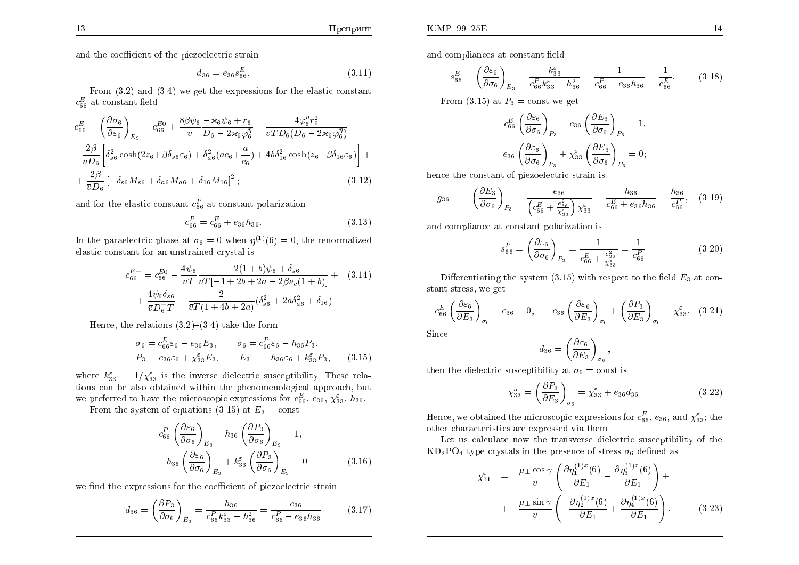and the coefficient of the piezoelectric strain

$$
d_{36} = e_{36} s_{66}^E. \tag{3.11}
$$

From  $(3.2)$  and  $(3.4)$  we get the expressions for the elastic constant  $c_{66}^E$  at constant field

$$
c_{66}^{E} = \left(\frac{\partial \sigma_{6}}{\partial \varepsilon_{6}}\right)_{E_{3}} = c_{66}^{E_{0}} + \frac{8\beta\psi_{6}}{\bar{v}} \frac{-\varkappa_{6}\psi_{6} + r_{6}}{D_{6} - 2\varkappa_{6}\varphi_{6}^{\eta}} - \frac{4\varphi_{6}^{\eta}r_{6}^{2}}{\bar{v}T D_{6}(D_{6} - 2\varkappa_{6}\varphi_{6}^{\eta})} - \frac{2\beta}{\bar{v}D_{6}} \left[\delta_{s6}^{2}\cosh(2z_{6} + \beta\delta_{s6}\varepsilon_{6}) + \delta_{a6}^{2}(ac_{6} + \frac{a}{c_{6}}) + 4b\delta_{16}^{2}\cosh(z_{6} - \beta\delta_{16}\varepsilon_{6})\right] + \frac{2\beta}{\bar{v}D_{6}} \left[-\delta_{s6}M_{s6} + \delta_{a6}M_{a6} + \delta_{16}M_{16}\right]^{2};
$$
\n(3.12)

and for the elastic constant  $c_{66}^P$  at constant polarization

$$
c_{66}^P = c_{66}^E + e_{36}h_{36}.\tag{3.13}
$$

In the paradectric phase at  $\sigma_6 = 0$  when  $\eta^{(1)}(6) = 0$ , the renormalized elastic constant for an unstrained crystal is

$$
c_{66}^{E+} = c_{66}^{E0} - \frac{4\psi_6}{\bar{v}T} \frac{-2(1+b)\psi_6 + \delta_{s6}}{\bar{v}T[-1+2b+2a-2\beta\bar{\nu}_c(1+b)]} + \frac{4\psi_6\delta_{s6}}{\bar{v}D_6^+T} - \frac{2}{\bar{v}T(1+4b+2a)}(\delta_{s6}^2 + 2a\delta_{a6}^2 + \delta_{16}).
$$
\n(3.14)

Hence, the relations  $(3.2)$ – $(3.4)$  take the form

$$
\sigma_6 = c_{66}^E \varepsilon_6 - e_{36} E_3, \qquad \sigma_6 = c_{66}^P \varepsilon_6 - h_{36} P_3,
$$
  
\n
$$
P_3 = e_{36} \varepsilon_6 + \chi_{33}^E E_3, \qquad E_3 = -h_{36} \varepsilon_6 + k_{33}^E P_3,
$$
 (3.15)

where  $k_{33}^{\varepsilon} = 1/\chi_{33}^{\varepsilon}$  is the inverse dielectric susceptibility. These relations can be also obtained within the phenomenological approach, but we preferred to have the microscopic expressions for  $c_{66}^E,$   $e_{36},$   $\chi_{33}^\varepsilon,$   $h_{36}$ 

From the system of equations (3.15) at  $E_3 = \text{const}$ 

$$
c_{66}^P \left( \frac{\partial \varepsilon_6}{\partial \sigma_6} \right)_{E_3} - h_{36} \left( \frac{\partial P_3}{\partial \sigma_6} \right)_{E_3} = 1,
$$
  

$$
-h_{36} \left( \frac{\partial \varepsilon_6}{\partial \sigma_6} \right)_{E_3} + k_{33}^{\varepsilon} \left( \frac{\partial P_3}{\partial \sigma_6} \right)_{E_3} = 0
$$
 (3.16)

we find the expressions for the coefficient of piezoelectric strain

$$
d_{36} = \left(\frac{\partial P_3}{\partial \sigma_6}\right)_{E_3} = \frac{h_{36}}{c_{66}^P k_{33}^{\varepsilon} - h_{36}^2} = \frac{e_{36}}{c_{66}^P - e_{36}h_{36}}\tag{3.17}
$$

and compliances at constant field

$$
s_{66}^E = \left(\frac{\partial \varepsilon_6}{\partial \sigma_6}\right)_{E_3} = \frac{k_{33}^{\varepsilon}}{c_{66}^E k_{33}^{\varepsilon} - h_{36}^2} = \frac{1}{c_{66}^P - e_{36}h_{36}} = \frac{1}{c_{66}^E}.\tag{3.18}
$$

From (3.15) at  $P_3$  = const we get

$$
c_{66}^{E} \left( \frac{\partial \varepsilon_6}{\partial \sigma_6} \right)_{P_3} - e_{36} \left( \frac{\partial E_3}{\partial \sigma_6} \right)_{P_3} = 1,
$$
  

$$
e_{36} \left( \frac{\partial \varepsilon_6}{\partial \sigma_6} \right)_{P_3} + \chi_{33}^{\varepsilon} \left( \frac{\partial E_3}{\partial \sigma_6} \right)_{P_3} = 0;
$$

hence the constant of piezoelectric strain is

$$
g_{36} = -\left(\frac{\partial E_3}{\partial \sigma_6}\right)_{P_3} = \frac{e_{36}}{\left(c_{66}^E + \frac{e_{36}^2}{\chi_{33}^2}\right)\chi_{33}^{\varepsilon}} = \frac{h_{36}}{c_{66}^E + e_{36}h_{36}} = \frac{h_{36}}{c_{66}^P},\quad(3.19)
$$

and compliance at constant polarization is

$$
s_{66}^{P} = \left(\frac{\partial \varepsilon_6}{\partial \sigma_6}\right)_{P_3} = \frac{1}{c_{66}^{E} + \frac{e_{36}^{2}}{\chi_{53}^{2}}} = \frac{1}{c_{66}^{P}}.
$$
 (3.20)

Differentiating the system  $(3.15)$  with respect to the field  $E_3$  at constant stress, we get

$$
c_{66}^E \left(\frac{\partial \varepsilon_6}{\partial E_3}\right)_{\sigma_6} - e_{36} = 0, \quad -e_{36} \left(\frac{\partial \varepsilon_6}{\partial E_3}\right)_{\sigma_6} + \left(\frac{\partial P_3}{\partial E_3}\right)_{\sigma_6} = \chi_{33}^{\varepsilon}.
$$
 (3.21)

Since

$$
d_{36} = \left(\frac{\partial \varepsilon_6}{\partial E_3}\right)_{\sigma_6}
$$

then the dielectric susceptibility at  $\sigma_6 = \text{const}$  is

$$
\chi_{33}^{\sigma} = \left(\frac{\partial P_3}{\partial E_3}\right)_{\sigma_6} = \chi_{33}^{\varepsilon} + e_{36}d_{36}.\tag{3.22}
$$

Hence, we obtained the microscopic expressions for  $c_{66}^E$ ,  $e_{36}$ , and  $\chi_{33}^{\varepsilon}$ ; the other characteristics are expressed via them.

Let us calculate now the transverse dielectric susceptibility of the  $KD_2PO_4$  type crystals in the presence of stress  $\sigma_6$  defined as

$$
\chi_{11}^{\varepsilon} = \frac{\mu_{\perp} \cos \gamma}{v} \left( \frac{\partial \eta_{1}^{(1)x}(6)}{\partial E_1} - \frac{\partial \eta_{3}^{(1)x}(6)}{\partial E_1} \right) + \n+ \frac{\mu_{\perp} \sin \gamma}{v} \left( -\frac{\partial \eta_{2}^{(1)x}(6)}{\partial E_1} + \frac{\partial \eta_{4}^{(1)x}(6)}{\partial E_1} \right).
$$
\n(3.23)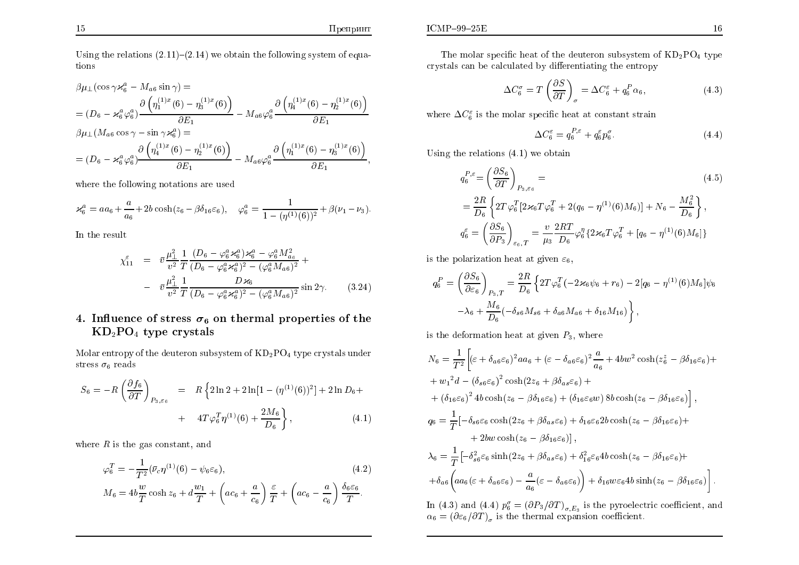Using the relations  $(2.11)$ – $(2.14)$  we obtain the following system of equations

$$
\beta\mu_{\perp}(\cos\gamma\varkappa_{6}^{a} - M_{a6}\sin\gamma) =
$$
\n
$$
= (D_{6} - \varkappa_{6}^{a}\varphi_{6}^{a}) \frac{\partial (\eta_{1}^{(1)x}(6) - \eta_{3}^{(1)x}(6))}{\partial E_{1}} - M_{a6}\varphi_{6}^{a} \frac{\partial (\eta_{4}^{(1)x}(6) - \eta_{2}^{(1)x}(6))}{\partial E_{1}}
$$
\n
$$
\beta\mu_{\perp}(M_{a6}\cos\gamma - \sin\gamma\varkappa_{6}^{a}) =
$$
\n
$$
= (D_{6} - \varkappa_{6}^{a}\varphi_{6}^{a}) \frac{\partial (\eta_{4}^{(1)x}(6) - \eta_{2}^{(1)x}(6))}{\partial E_{1}} - M_{a6}\varphi_{6}^{a} \frac{\partial (\eta_{1}^{(1)x}(6) - \eta_{3}^{(1)x}(6))}{\partial E_{1}},
$$

where the following notations are used

$$
\varkappa_6^a = aa_6 + \frac{a}{a_6} + 2b\cosh(z_6 - \beta \delta_{16}\varepsilon_6), \quad \varphi_6^a = \frac{1}{1 - (\eta^{(1)}(6))^2} + \beta(\nu_1 - \nu_3).
$$

In the result

$$
\chi_{11}^{\varepsilon} = \bar{v} \frac{\mu_{\perp}^{2}}{v^{2}} \frac{1}{T} \frac{(D_{6} - \varphi_{6}^{a} \varkappa_{6}^{a}) \varkappa_{6}^{a} - \varphi_{6}^{a} M_{a_{6}}^{2}}{(D_{6} - \varphi_{6}^{a} \varkappa_{6}^{a})^{2} - (\varphi_{6}^{a} M_{a_{6}})^{2}} + \frac{\bar{v} \frac{\mu_{\perp}^{2}}{v^{2}} \frac{1}{T} \frac{D \varkappa_{6}}{(D_{6} - \varphi_{6}^{a} \varkappa_{6}^{a})^{2} - (\varphi_{6}^{a} M_{a_{6}})^{2}} \sin 2\gamma.
$$
 (3.24)

# 4. Influence of stress  $\sigma_6$  on thermal properties of the  $KD_2PO_4$  type crystals

Molar entropy of the deuteron subsystem of  $KD_2PO_4$  type crystals under stress  $\sigma_6$  reads

$$
S_6 = -R\left(\frac{\partial f_6}{\partial T}\right)_{P_3,\varepsilon_6} = R\left\{2\ln 2 + 2\ln[1 - (\eta^{(1)}(6))^2] + 2\ln D_6 + \right. \\ + 4T\varphi_6^T\eta^{(1)}(6) + \frac{2M_6}{D_6}\right\},\tag{4.1}
$$

where  $R$  is the gas constant, and

$$
\varphi_6^T = -\frac{1}{T^2} (\bar{\nu}_c \eta^{(1)}(6) - \psi_6 \varepsilon_6),
$$
\n
$$
M_6 = 4b \frac{w}{T} \cosh z_6 + d \frac{w_1}{T} + \left( ac_6 + \frac{a}{c_6} \right) \frac{\varepsilon}{T} + \left( ac_6 - \frac{a}{c_6} \right) \frac{\delta_6 \varepsilon_6}{T}.
$$
\n(4.2)

$$
\Delta C_6^{\sigma} = T \left( \frac{\partial S}{\partial T} \right)_{\sigma} = \Delta C_6^{\varepsilon} + q_6^P \alpha_6, \tag{4.3}
$$

where  $\Delta C_6^{\varepsilon}$  is the molar specific heat at constant strain

$$
\Delta C_6^{\varepsilon} = q_6^{P,\varepsilon} + q_6^{\varepsilon} p_6^{\sigma}.
$$
\n(4.4)

Using the relations  $(4.1)$  we obtain

$$
q_6^{P,\varepsilon} = \left(\frac{\partial S_6}{\partial T}\right)_{P_3,\varepsilon_6} =
$$
\n
$$
= \frac{2R}{D_6} \left\{ 2T\varphi_6^T \left[2\varkappa_6 T \varphi_6^T + 2(q_6 - \eta^{(1)}(6)M_6)\right] + N_6 - \frac{M_6^2}{D_6} \right\},
$$
\n
$$
q_6^{\varepsilon} = \left(\frac{\partial S_6}{\partial P_3}\right)_{\varepsilon_6,T} = \frac{v}{\mu_3} \frac{2RT}{D_6} \varphi_6^T \left\{2\varkappa_6 T \varphi_6^T + \left[q_6 - \eta^{(1)}(6)M_6\right]\right\}
$$
\n(4.5)

is the polarization heat at given  $\varepsilon_6$ ,

$$
q_6^P = \left(\frac{\partial S_6}{\partial \varepsilon_6}\right)_{P_3,T} = \frac{2R}{D_6} \left\{ 2T\varphi_6^T \left( -2\varkappa_6\psi_6 + r_6 \right) - 2[q_6 - \eta^{(1)}(6)M_6]\psi_6 \right\} -\lambda_6 + \frac{M_6}{D_6} \left( -\delta_{s6}M_{s6} + \delta_{a6}M_{a6} + \delta_{16}M_{16} \right) \right\},
$$

is the deformation heat at given  $P_3$ , where

$$
N_6 = \frac{1}{T^2} \Big[ (\varepsilon + \delta_{a6}\varepsilon_6)^2 a a_6 + (\varepsilon - \delta_{a6}\varepsilon_6)^2 \frac{a}{a_6} + 4b w^2 \cosh(z_6^z - \beta \delta_{16}\varepsilon_6) ++ w_1^2 d - (\delta_{s6}\varepsilon_6)^2 \cosh(2z_6 + \beta \delta_{a s}\varepsilon_6) ++ (\delta_{16}\varepsilon_6)^2 4b \cosh(z_6 - \beta \delta_{16}\varepsilon_6) + (\delta_{16}\varepsilon_6 w) 8b \cosh(z_6 - \beta \delta_{16}\varepsilon_6) \Big],q_6 = \frac{1}{T} [-\delta_{s6}\varepsilon_6 \cosh(2z_6 + \beta \delta_{a s}\varepsilon_6) + \delta_{16}\varepsilon_6 2b \cosh(z_6 - \beta \delta_{16}\varepsilon_6) ++ 2b w \cosh(z_6 - \beta \delta_{16}\varepsilon_6)],\lambda_6 = \frac{1}{T} [-\delta_{s6}^2 \varepsilon_6 \sinh(2z_6 + \beta \delta_{a s}\varepsilon_6) + \delta_{16}^2 \varepsilon_6 4b \cosh(z_6 - \beta \delta_{16}\varepsilon_6) ++ \delta_{a6} \Big( a a_6 (\varepsilon + \delta_{a6}\varepsilon_6) - \frac{a}{a_6} (\varepsilon - \delta_{a6}\varepsilon_6) \Big) + \delta_{16} w \varepsilon_6 4b \sinh(z_6 - \beta \delta_{16}\varepsilon_6) \Big].
$$

In (4.3) and (4.4)  $p_6^{\sigma} = (\partial P_3/\partial T)_{\sigma,E_3}$  is the pyroelectric coefficient, and  $\alpha_6 = (\partial \varepsilon_6/\partial T)_\sigma$  is the thermal expansion coefficient.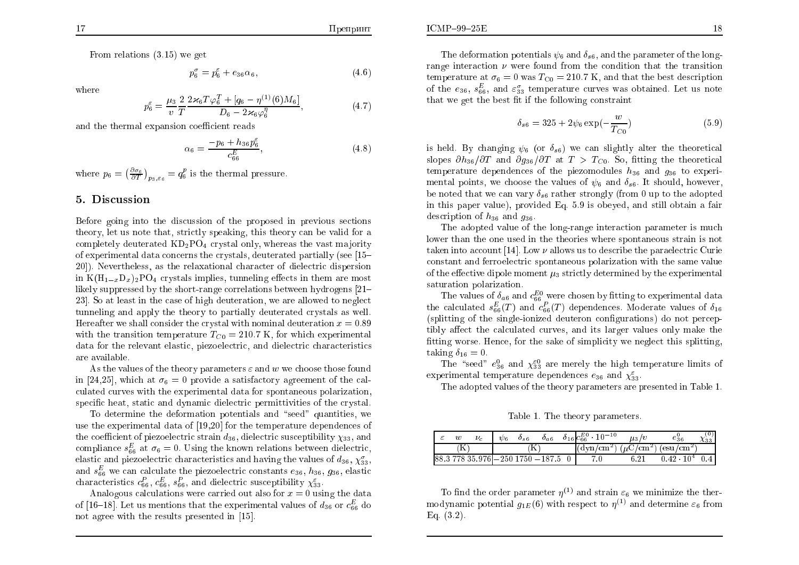From relations  $(3.15)$  we get

$$
p_6^{\sigma} = p_6^{\varepsilon} + e_{36}\alpha_6,\tag{4.6}
$$

where

$$
p_6^{\varepsilon} = \frac{\mu_3}{v} \frac{2}{T} \frac{2 \varkappa_6 T \varphi_6^T + [q_6 - \eta^{(1)}(6)M_6]}{D_6 - 2 \varkappa_6 \varphi_6^{\eta}},
$$
(4.7)

and the thermal expansion coefficient reads

$$
\alpha_6 = \frac{-p_6 + h_{36}p_6^{\varepsilon}}{c_{66}^E},\tag{4.8}
$$

where  $p_6 = \left(\frac{\partial \sigma_6}{\partial T}\right)_{p_3,\varepsilon_6} = q_6^p$  is the thermal pressure.

#### 5. Discussion

Before going into the discussion of the proposed in previous sections theory, let us note that, strictly speaking, this theory can be valid for a completely deuterated  $KD_2PO_4$  crystal only, whereas the vast majority of experimental data concerns the crystals, deuterated partially (see [15-20]). Nevertheless, as the relaxational character of dielectric dispersion in  $K(H_{1-x}D_x)_2PO_4$  crystals implies, tunneling effects in them are most likely suppressed by the short-range correlations between hydrogens  $[21-$ 23. So at least in the case of high deuteration, we are allowed to neglect tunneling and apply the theory to partially deuterated crystals as well. Hereafter we shall consider the crystal with nominal deuteration  $x = 0.89$ with the transition temperature  $T_{C0} = 210.7$  K, for which experimental data for the relevant elastic, piezoelectric, and dielectric characteristics are available.

As the values of the theory parameters  $\varepsilon$  and w we choose those found in [24,25], which at  $\sigma_6 = 0$  provide a satisfactory agreement of the calculated curves with the experimental data for spontaneous polarization, specific heat, static and dynamic dielectric permittivities of the crystal.

To determine the deformation potentials and "seed" quantities, we use the experimental data of [19,20] for the temperature dependences of the coefficient of piezoelectric strain  $d_{36}$ , dielectric susceptibility  $\chi_{33}$ , and compliance  $s_{66}^E$  at  $\sigma_6 = 0$ . Using the known relations between dielectric, elastic and piezoelectric characteristics and having the values of  $d_{36}$ ,  $\chi_{33}^{\sigma}$ , and  $s_{66}^E$  we can calculate the piezoelectric constants  $e_{36}$ ,  $h_{36}$ ,  $g_{36}$ , elastic characteristics  $c_{66}^P$ ,  $c_{66}^E$ ,  $s_{66}^P$ , and dielectric susceptibility  $\chi_{33}^{\varepsilon}$ .

Analogous calculations were carried out also for  $x = 0$  using the data of [16–18]. Let us mentions that the experimental values of  $d_{36}$  or  $c_{66}^E$  do not agree with the results presented in [15].

The deformation potentials  $\psi_6$  and  $\delta_{s6}$ , and the parameter of the longrange interaction  $\nu$  were found from the condition that the transition temperature at  $\sigma_6 = 0$  was  $T_{\text{C0}} = 210.7$  K, and that the best description of the  $e_{36}$ ,  $s_{66}^E$ , and  $\varepsilon_{33}^{\sigma}$  temperature curves was obtained. Let us note that we get the best fit if the following constraint

$$
\delta_{s6} = 325 + 2\psi_6 \exp(-\frac{w}{T_{C0}})
$$
\n(5.9)

is held. By changing  $\psi_6$  (or  $\delta_{s6}$ ) we can slightly alter the theoretical slopes  $\partial h_{36}/\partial T$  and  $\partial g_{36}/\partial T$  at  $T > T_{C0}$ . So, fitting the theoretical temperature dependences of the piezomodules  $h_{36}$  and  $g_{36}$  to experimental points, we choose the values of  $\psi_6$  and  $\delta_{s6}$ . It should, however. be noted that we can vary  $\delta_{\rm sf}$  rather strongly (from 0 up to the adopted in this paper value), provided Eq. 5.9 is obeyed, and still obtain a fair description of  $h_{36}$  and  $g_{36}$ .

The adopted value of the long-range interaction parameter is much lower than the one used in the theories where spontaneous strain is not taken into account [14]. Low  $\nu$  allows us to describe the paraelectric Curie constant and ferroelectric spontaneous polarization with the same value of the effective dipole moment  $\mu_3$  strictly determined by the experimental saturation polarization.

The values of  $\delta_{a6}$  and  $c_{66}^{E0}$  were chosen by fitting to experimental data the calculated  $s_{66}^E(T)$  and  $c_{66}^P(T)$  dependences. Moderate values of  $\delta_{16}$ (splitting of the single-ionized deuteron configurations) do not perceptibly affect the calculated curves, and its larger values only make the fitting worse. Hence, for the sake of simplicity we neglect this splitting, taking  $\delta_{16} = 0$ .

The "seed"  $e_{36}^0$  and  $\chi_{33}^{\epsilon 0}$  are merely the high temperature limits of experimental temperature dependences  $e_{36}$  and  $\chi_{33}^{\varepsilon}$ .

The adopted values of the theory parameters are presented in Table 1.

Table 1. The theory parameters.

|  | w             | $\nu_c$ | $\psi_6$ | $\sigma_{s6}$ | $\sigma_{a6}$                     | $\delta_{16}$ $c_{66}^{E0}$ $\cdot$ 10 <sup>-10</sup>             | $\mu_3/v$ | ∈36                 | ∿აა |
|--|---------------|---------|----------|---------------|-----------------------------------|-------------------------------------------------------------------|-----------|---------------------|-----|
|  | $^{\prime}$ N |         |          |               |                                   | $\sqrt{\frac{(\text{dyn/cm}^2)}{(\mu C/cm^2)} (\text{esu/cm}^2)}$ |           |                     |     |
|  |               |         |          |               | 88.3 778 35.976  -250 1750 -187.5 | 7.0                                                               | 6.21      | $0.42 \cdot 10^{4}$ |     |

To find the order parameter  $\eta^{(1)}$  and strain  $\varepsilon_6$  we minimize the thermodynamic potential  $q_{1E}(6)$  with respect to  $\eta^{(1)}$  and determine  $\varepsilon_6$  from Eq.  $(3.2)$ .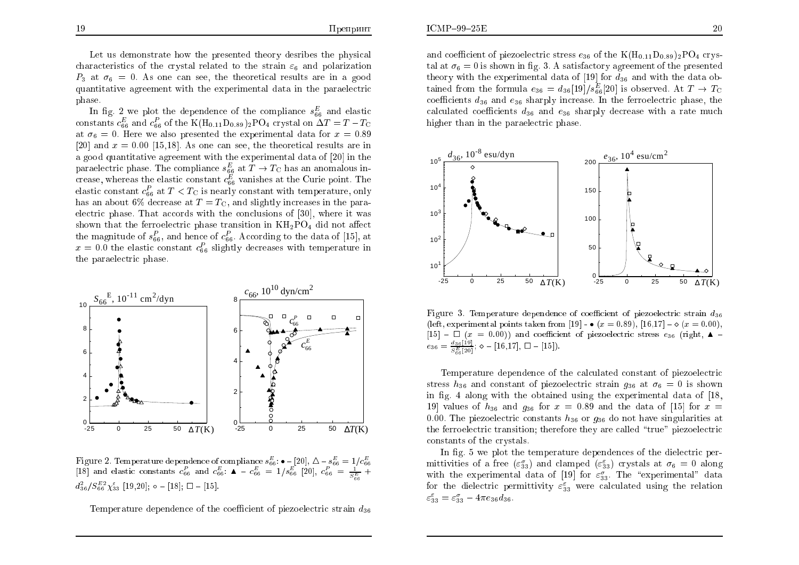Let us demonstrate how the presented theory desribes the physical characteristics of the crystal related to the strain  $\varepsilon_6$  and polarization  $P_3$  at  $\sigma_6 = 0$ . As one can see, the theoretical results are in a good quantitative agreement with the experimental data in the paraelectric phase.

In fig. 2 we plot the dependence of the compliance  $s_{66}^E$  and elastic constants  $c_{66}^E$  and  $c_{66}^P$  of the K(H<sub>0.11</sub>D<sub>0.89</sub>)<sub>2</sub>PO<sub>4</sub> crystal on  $\Delta T = T - T_C$ at  $\sigma_6 = 0$ . Here we also presented the experimental data for  $x = 0.89$ [20] and  $x = 0.00$  [15,18]. As one can see, the theoretical results are in a good quantitative agreement with the experimental data of [20] in the paraelectric phase. The compliance  $s_{66}^E$  at  $T \to T_C$  has an anomalous increase, whereas the elastic constant  $c_{66}^E$  vanishes at the Curie point. The elastic constant  $c_{66}^P$  at  $T < T_C$  is nearly constant with temperature, only has an about 6% decrease at  $T = T_{\rm G}$ , and slightly increases in the paraelectric phase. That accords with the conclusions of [30], where it was shown that the ferroelectric phase transition in  $KH_2PO_4$  did not affect the magnitude of  $s_{66}^P$ , and hence of  $c_{66}^P$ . According to the data of [15], at  $x = 0.0$  the elastic constant  $c_{66}^P$  slightly decreases with temperature in the paraelectric phase.



Figure 2. Temperature dependence of compliance  $s_{66}^{E}$ :  $\bullet$  - [20],  $\Delta - s_{66}^{E} = 1/c_{66}^{E}$  [18] and elastic constants  $c_{66}^{E}$  and  $c_{66}^{E}$ :  $\blacktriangle - c_{66}^{E} = 1/s_{66}^{E}$  [20],  $c_{66}^{P} = \frac{1}{s_{66}^{E}} +$  $d_{36}^2/S_{66}^{E2}\chi_{33}^{\varepsilon}$  [19,20];  $\circ$  - [18];  $\square$  - [15]

Temperature dependence of the coefficient of piezoelectric strain  $d_{36}$ 

and coefficient of piezoelectric stress  $e_{36}$  of the K(H<sub>0.11</sub>D<sub>0.89</sub>)<sub>2</sub>PO<sub>4</sub> crystal at  $\sigma_6 = 0$  is shown in fig. 3. A satisfactory agreement of the presented theory with the experimental data of [19] for  $d_{36}$  and with the data obtained from the formula  $e_{36} = d_{36}[19]/s_{66}^E[20]$  is observed. At  $T \to T_C$ coefficients  $d_{36}$  and  $e_{36}$  sharply increase. In the ferroelectric phase, the calculated coefficients  $d_{36}$  and  $e_{36}$  sharply decrease with a rate much higher than in the paraelectric phase.



Figure 3. Temperature dependence of coefficient of piezoelectric strain  $d_{36}$ (left, experimental points taken from [19] -  $\bullet$  (x = 0.89), [16,17] -  $\circ$  (x = 0.00),  $[15]$  –  $\Box$  (x = 0.00)) and coefficient of piezoelectric stress  $e_{36}$  (right,  $\triangle$  –  $e_{36} = \frac{d_{36}[19]}{5^{E}[20]}$ ;  $\diamond$  - [16,17],  $\square$  - [15]).

Temperature dependence of the calculated constant of piezoelectric stress  $h_{36}$  and constant of piezoelectric strain  $g_{36}$  at  $\sigma_6 = 0$  is shown in fig. 4 along with the obtained using the experimental data of [18, 19 values of  $h_{36}$  and  $g_{36}$  for  $x = 0.89$  and the data of [15] for  $x =$ 0.00. The piezoelectric constants  $h_{36}$  or  $g_{36}$  do not have singularities at the ferroelectric transition; therefore they are called "true" piezoelectric constants of the crystals.

In fig. 5 we plot the temperature dependences of the dielectric permittivities of a free  $(\varepsilon_{33}^{\sigma})$  and clamped  $(\varepsilon_{33}^{\varepsilon})$  crystals at  $\sigma_6 = 0$  along with the experimental data of [19] for  $\varepsilon_{33}^{\sigma}$ . The "experimental" data for the dielectric permittivity  $\varepsilon_{33}^{\varepsilon}$  were calculated using the relation  $\varepsilon_{33}^{\varepsilon} = \varepsilon_{33}^{\sigma} - 4\pi e_{36} d_{36}.$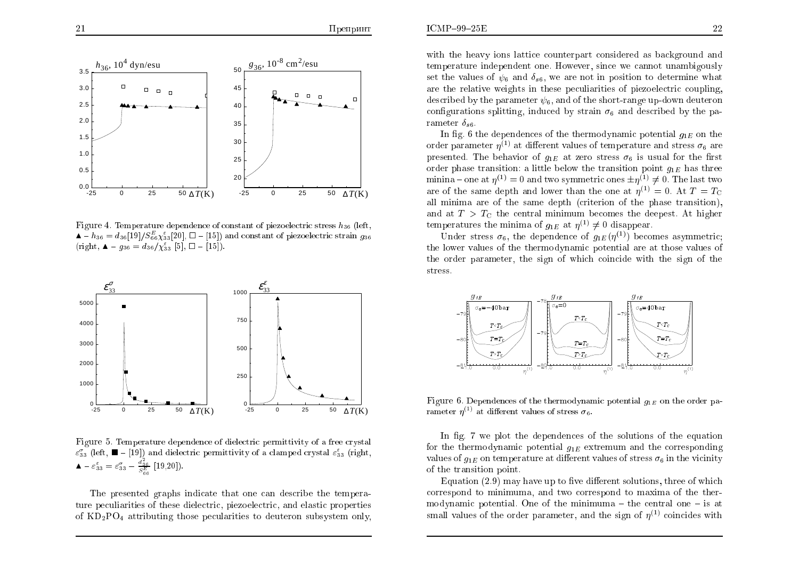

Figure 4. Temperature dependence of constant of piezoelectric stress  $h_{36}$  (left,  $A - h_{36} = d_{36} [19]/S_{66}^E \chi_{33}^{\epsilon} [20], \Box - [15]$  and constant of piezoelectric strain  $g_{36}$ (right,  $\Delta - g_{36} = d_{36}/\chi_{33}^{\epsilon}$  [5],  $\Box -$  [15]).



Figure 5. Temperature dependence of dielectric permittivity of a free crystal  $\varepsilon_{33}^{\sigma}$  (left,  $\blacksquare$  - [19]) and dielectric permittivity of a clamped crystal  $\varepsilon_{33}^{\varepsilon}$  (right,  $\blacktriangle - \varepsilon_{33}^{\varepsilon} = \varepsilon_{33}^{\sigma} - \frac{d_{36}^2}{S_{\infty}^E}$  [19,20]).

The presented graphs indicate that one can describe the temperature peculiarities of these dielectric, piezoelectric, and elastic properties of  $KD_2PO_4$  attributing those pecularities to deuteron subsystem only,

with the heavy ions lattice counterpart considered as background and temperature independent one. However, since we cannot unambigously set the values of  $\psi_6$  and  $\delta_{s6}$ , we are not in position to determine what are the relative weights in these peculiarities of piezoelectric coupling, described by the parameter  $\psi_6$ , and of the short-range up-down deuteron configurations splitting, induced by strain  $\sigma_6$  and described by the parameter  $\delta_{s6}$ .

In fig. 6 the dependences of the thermodynamic potential  $q_{1E}$  on the order parameter  $\eta^{(1)}$  at different values of temperature and stress  $\sigma_6$  are presented. The behavior of  $g_{1E}$  at zero stress  $\sigma_6$  is usual for the first order phase transition: a little below the transition point  $g_{1E}$  has three minina – one at  $\eta^{(1)} = 0$  and two symmetric ones  $\pm \eta^{(1)} \neq 0$ . The last two are of the same depth and lower than the one at  $\eta^{(1)} = 0$ . At  $T = T_C$ all minima are of the same depth (criterion of the phase transition), and at  $T > T_{\rm C}$  the central minimum becomes the deepest. At higher temperatures the minima of  $q_{1E}$  at  $\eta^{(1)} \neq 0$  disappear.

Under stress  $\sigma_6$ , the dependence of  $g_{1E}(\eta^{(1)})$  becomes asymmetric; the lower values of the thermodynamic potential are at those values of the order parameter, the sign of which coincide with the sign of the stress.



Figure 6. Dependences of the thermodynamic potential  $q_{1E}$  on the order parameter  $\eta^{(1)}$  at different values of stress  $\sigma_6$ .

In fig. 7 we plot the dependences of the solutions of the equation for the thermodynamic potential  $g_{1E}$  extremum and the corresponding values of  $q_{1E}$  on temperature at different values of stress  $\sigma_6$  in the vicinity of the transition point.

Equation  $(2.9)$  may have up to five different solutions, three of which correspond to minimuma, and two correspond to maxima of the thermodynamic potential. One of the minimum  $-$  the central one  $-$  is at small values of the order parameter, and the sign of  $\eta^{(1)}$  coincides with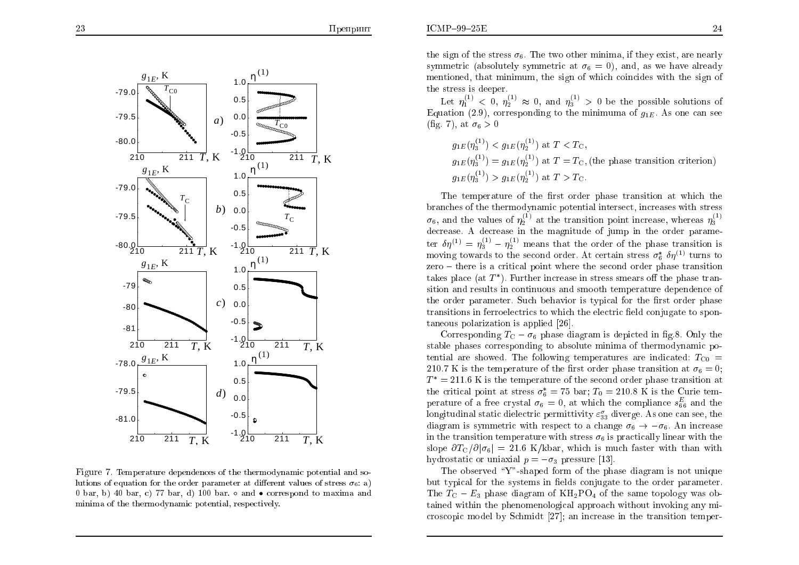the stress is deeper.



Figure 7. Temperature dependences of the thermodynamic potential and solutions of equation for the order parameter at different values of stress  $\sigma_6$ : a) 0 bar, b) 40 bar, c) 77 bar, d) 100 bar.  $\circ$  and  $\bullet$  correspond to maxima and minima of the thermodynamic potential, respectively.

Let  $\eta_1^{(1)} < 0$ ,  $\eta_2^{(1)} \approx 0$ , and  $\eta_3^{(1)} > 0$  be the possible solutions of Equation (2.9), corresponding to the minimum of  $g_{1E}$ . As one can see (fig. 7), at  $\sigma_6 > 0$ 

 $q_{1E}(\eta_2^{(1)}) < q_{1E}(\eta_2^{(1)})$  at  $T < T_{\rm G}$ ,  $q_{1E}(\eta_{2}^{(1)})=q_{1E}(\eta_{2}^{(1)})$  at  $T=T_{\rm G}$ , (the phase transition criterion)  $q_{1E}(n_2^{(1)}) > q_{1E}(n_2^{(1)})$  at  $T > T_C$ .

The temperature of the first order phase transition at which the branches of the thermodynamic potential intersect, increases with stress  $\sigma_6$ , and the values of  $\eta_2^{(1)}$  at the transition point increase, whereas  $\eta_3^{(1)}$ decrease. A decrease in the magnitude of jump in the order parameter  $\delta \eta^{(1)} = \eta_3^{(1)} - \eta_2^{(1)}$  means that the order of the phase transition is moving towards to the second order. At certain stress  $\sigma_{\kappa}^* \delta \eta^{(1)}$  turns to  $zero - there$  is a critical point where the second order phase transition takes place (at  $T^*$ ). Further increase in stress smears off the phase transition and results in continuous and smooth temperature dependence of the order parameter. Such behavior is typical for the first order phase transitions in ferroelectrics to which the electric field conjugate to spontaneous polarization is applied [26].

Corresponding  $T_{\rm C} - \sigma_6$  phase diagram is depicted in fig.8. Only the stable phases corresponding to absolute minima of thermodynamic potential are showed. The following temperatures are indicated:  $T_{\text{CO}}$  = 210.7 K is the temperature of the first order phase transition at  $\sigma_6 = 0$ ;  $T^* = 211.6$  K is the temperature of the second order phase transition at the critical point at stress  $\sigma_6^* = 75$  bar;  $T_0 = 210.8$  K is the Curie temperature of a free crystal  $\sigma_6 = 0$ , at which the compliance  $s_{66}^E$  and the longitudinal static dielectric permittivity  $\varepsilon_{33}^{\sigma}$  diverge. As one can see, the diagram is symmetric with respect to a change  $\sigma_6 \rightarrow -\sigma_6$ . An increase in the transition temperature with stress  $\sigma_6$  is practically linear with the slope  $\partial T_{\rm C}/\partial |\sigma_6| = 21.6$  K/kbar, which is much faster with than with hydrostatic or uniaxial  $p = -\sigma_3$  pressure [13].

The observed "Y"-shaped form of the phase diagram is not unique but typical for the systems in fields conjugate to the order parameter. The  $T_{\rm C}$  –  $E_3$  phase diagram of  $\rm KH_2PO_4$  of the same topology was obtained within the phenomenological approach without invoking any microscopic model by Schmidt [27]; an increase in the transition temper-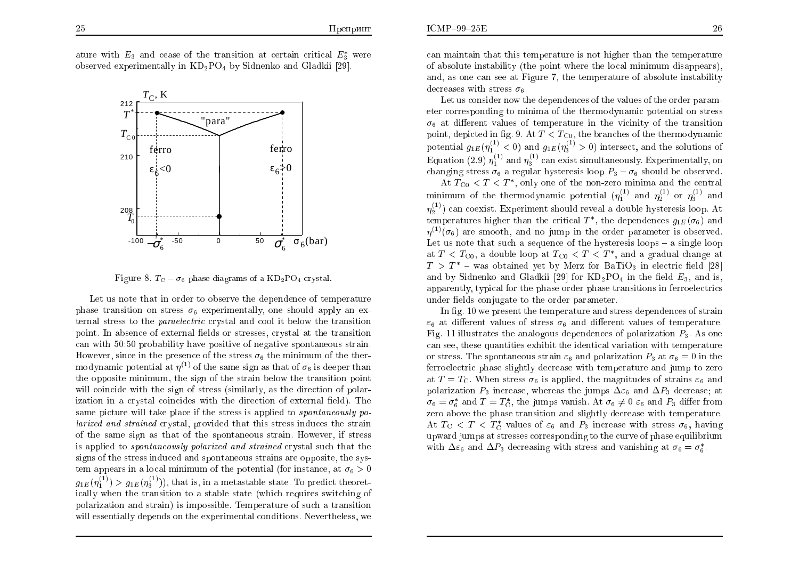

Figure 8.  $T_{\rm C} - \sigma_6$  phase diagrams of a  $KD_2PO_4$  crystal.

Let us note that in order to observe the dependence of temperature phase transition on stress  $\sigma_6$  experimentally, one should apply an external stress to the *paraelectric* crystal and cool it below the transition point. In absence of external fields or stresses, crystal at the transition can with 50:50 probability have positive of negative spontaneous strain. However, since in the presence of the stress  $\sigma_6$  the minimum of the thermodynamic potential at  $\eta^{(1)}$  of the same sign as that of  $\sigma_6$  is deeper than the opposite minimum, the sign of the strain below the transition point will coincide with the sign of stress (similarly, as the direction of polarization in a crystal coincides with the direction of external field). The same picture will take place if the stress is applied to *spontaneously polarized and strained* crystal, provided that this stress induces the strain of the same sign as that of the spontaneous strain. However, if stress is applied to *spontaneously polarized and strained* crystal such that the signs of the stress induced and spontaneous strains are opposite, the system appears in a local minimum of the potential (for instance, at  $\sigma_6 > 0$ )  $g_{1E}(\eta_1^{(1)}) > g_{1E}(\eta_3^{(1)}),$  that is, in a metastable state. To predict theoretically when the transition to a stable state (which requires switching of polarization and strain) is impossible. Temperature of such a transition will essentially depends on the experimental conditions. Nevertheless, we

can maintain that this temperature is not higher than the temperature of absolute instability (the point where the local minimum disappears). and, as one can see at Figure 7, the temperature of absolute instability decreases with stress  $\sigma_6$ .

Let us consider now the dependences of the values of the order parameter corresponding to minima of the thermodynamic potential on stress  $\sigma_6$  at different values of temperature in the vicinity of the transition point, depicted in fig. 9. At  $T < T_{\text{CO}}$ , the branches of the thermodynamic potential  $g_{1E}(\eta_1^{(1)} < 0)$  and  $g_{1E}(\eta_3^{(1)} > 0)$  intersect, and the solutions of Equation (2.9)  $\eta_1^{(1)}$  and  $\eta_2^{(1)}$  can exist simultaneously. Experimentally, on changing stress  $\sigma_6$  a regular hysteresis loop  $P_3 - \sigma_6$  should be observed.

At  $T_{\text{C0}} < T < T^*$ , only one of the non-zero minima and the central minimum of the thermodynamic potential  $(\eta_1^{(1)}$  and  $\eta_2^{(1)}$  or  $\eta_3^{(1)}$  and  $\eta_2^{(1)}$  can coexist. Experiment should reveal a double hysteresis loop. At temperatures higher than the critical  $T^*$ , the dependences  $g_{1E}(\sigma_6)$  and  $\eta^{(1)}(\sigma_6)$  are smooth, and no jump in the order parameter is observed. Let us note that such a sequence of the hysteresis loops  $-$  a single loop at  $T < T_{\text{C0}}$ , a double loop at  $T_{\text{C0}} < T < T^*$ , and a gradual change at  $T > T^*$  – was obtained yet by Merz for BaTiO<sub>3</sub> in electric field [28] and by Sidnenko and Gladkii [29] for  $KD_2PO_4$  in the field  $E_3$ , and is, apparently, typical for the phase order phase transitions in ferroelectrics under fields conjugate to the order parameter.

In fig. 10 we present the temperature and stress dependences of strain  $\varepsilon_6$  at different values of stress  $\sigma_6$  and different values of temperature. Fig. 11 illustrates the analogous dependences of polarization  $P_3$ . As one can see, these quantities exhibit the identical variation with temperature or stress. The spontaneous strain  $\varepsilon_6$  and polarization  $P_3$  at  $\sigma_6 = 0$  in the ferroelectric phase slightly decrease with temperature and jump to zero at  $T = T_{\rm C}$ . When stress  $\sigma_6$  is applied, the magnitudes of strains  $\varepsilon_6$  and polarization  $P_3$  increase, whereas the jumps  $\Delta \varepsilon_6$  and  $\Delta P_3$  decrease; at  $\sigma_6 = \sigma_6^*$  and  $T = T_C^*$ , the jumps vanish. At  $\sigma_6 \neq 0$   $\varepsilon_6$  and  $P_3$  differ from zero above the phase transition and slightly decrease with temperature. At  $T_{\rm C}$  <  $T$  <  $T_{\rm C}^*$  values of  $\varepsilon_6$  and  $P_3$  increase with stress  $\sigma_6$ , having upward jumps at stresses corresponding to the curve of phase equilibrium with  $\Delta\varepsilon_6$  and  $\Delta P_3$  decreasing with stress and vanishing at  $\sigma_6 = \sigma_6^*$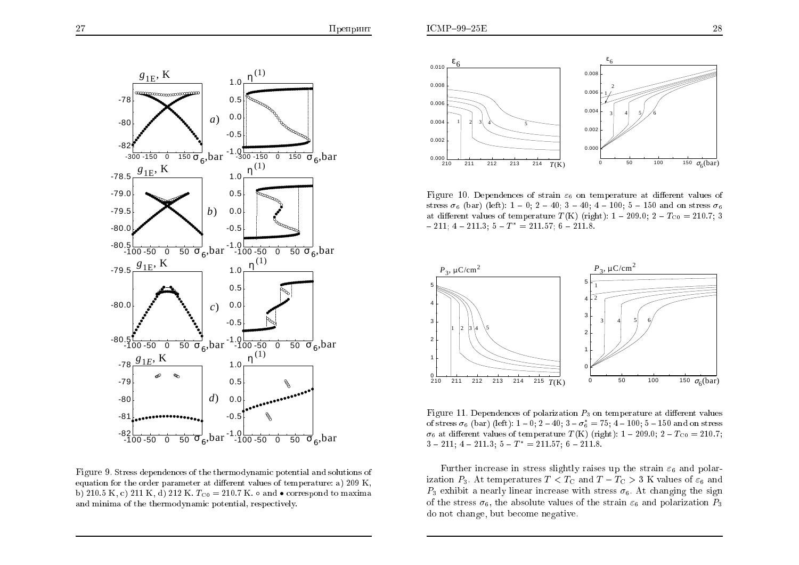

Figure 9. Stress dependences of the thermodynamic potential and solutions of equation for the order parameter at different values of temperature: a) 209 K, b) 210.5 K, c) 211 K, d) 212 K.  $T_{C0} = 210.7$  K.  $\circ$  and  $\bullet$  correspond to maxima and minima of the thermodynamic potential, respectively.



Figure 10. Dependences of strain  $\varepsilon_6$  on temperature at different values of stress  $\sigma_6$  (bar) (left): 1 – 0; 2 – 40; 3 – 40; 4 – 100; 5 – 150 and on stress  $\sigma_6$ at different values of temperature  $T(K)$  (right): 1 – 209.0; 2 –  $T_{C0} = 210.7$ ; 3  $-211$ ; 4 - 211.3; 5 -  $T^* = 211.57$ ; 6 - 211.8.



Figure 11. Dependences of polarization  $P_3$  on temperature at different values of stress  $\sigma_6$  (bar) (left): 1 – 0; 2 – 40; 3 –  $\sigma_6^* = 75$ ; 4 – 100; 5 – 150 and on stress  $\sigma_6$  at different values of temperature  $T(K)$  (right): 1 – 209.0; 2 –  $T_{C0} = 210.7$ ;  $3 - 211$ ;  $4 - 211.3$ ;  $5 - T^* = 211.57$ ;  $6 - 211.8$ .

Further increase in stress slightly raises up the strain  $\varepsilon_6$  and polarization  $P_3$ . At temperatures  $T < T_C$  and  $T - T_C > 3$  K values of  $\varepsilon_6$  and  $P_3$  exhibit a nearly linear increase with stress  $\sigma_6$ . At changing the sign of the stress  $\sigma_6$ , the absolute values of the strain  $\varepsilon_6$  and polarization  $P_3$ do not change, but become negative.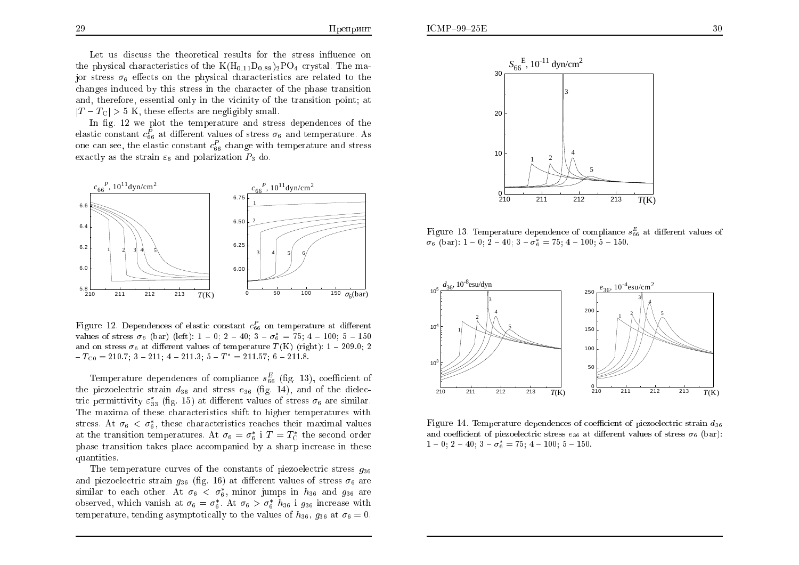Let us discuss the theoretical results for the stress influence on the physical characteristics of the  $K(H_{0,11}D_{0.89})_2PO_4$  crystal. The major stress  $\sigma_6$  effects on the physical characteristics are related to the changes induced by this stress in the character of the phase transition and, therefore, essential only in the vicinity of the transition point; at  $|T-T_{\text{C}}| > 5$  K, these effects are negligibly small.

In fig. 12 we plot the temperature and stress dependences of the elastic constant  $c_{66}^P$  at different values of stress  $\sigma_6$  and temperature. As one can see, the elastic constant  $c_{66}^P$  change with temperature and stress exactly as the strain  $\varepsilon_6$  and polarization  $P_3$  do.



Figure 12. Dependences of elastic constant  $c_{66}^P$  on temperature at different values of stress  $\sigma_6$  (bar) (left):  $1 - 0$ :  $2 - 40$ :  $3 - \sigma_6^* = 75$ :  $4 - 100$ :  $5 - 150$ and on stress  $\sigma_6$  at different values of temperature  $T(K)$  (right): 1 – 209.0; 2  $-T_{\rm CO} = 210.7; 3 - 211; 4 - 211.3; 5 - T^* = 211.57; 6 - 211.8.$ 

Temperature dependences of compliance  $s_{66}^E$  (fig. 13), coefficient of the piezoelectric strain  $d_{36}$  and stress  $e_{36}$  (fig. 14), and of the dielectric permittivity  $\varepsilon_{33}^{\varepsilon}$  (fig. 15) at different values of stress  $\sigma_6$  are similar. The maxima of these characteristics shift to higher temperatures with stress. At  $\sigma_6 < \sigma_6^*$ , these characteristics reaches their maximal values at the transition temperatures. At  $\sigma_6 = \sigma_6^*$  i  $T = T_C^*$  the second order phase transition takes place accompanied by a sharp increase in these quantities.

The temperature curves of the constants of piezoelectric stress  $q_{36}$ and piezoelectric strain  $q_{36}$  (fig. 16) at different values of stress  $\sigma_6$  are similar to each other. At  $\sigma_6 < \sigma_6^*$ , minor jumps in  $h_{36}$  and  $g_{36}$  are observed, which vanish at  $\sigma_6 = \sigma_6^*$ . At  $\sigma_6 > \sigma_6^*$   $h_{36}$  i  $g_{36}$  increase with temperature, tending asymptotically to the values of  $h_{36}$ ,  $g_{36}$  at  $\sigma_6 = 0$ .



Figure 13. Temperature dependence of compliance  $s_{66}^E$  at different values of  $\sigma_6$  (bar): 1 – 0; 2 – 40; 3 –  $\sigma_6^* = 75$ ; 4 – 100; 5 – 150.



Figure 14. Temperature dependences of coefficient of piezoelectric strain  $d_{36}$ and coefficient of piezoelectric stress  $e_{36}$  at different values of stress  $\sigma_6$  (bar):  $1-0$ ;  $2-40$ ;  $3-\sigma_6^* = 75$ ;  $4-100$ ;  $5-150$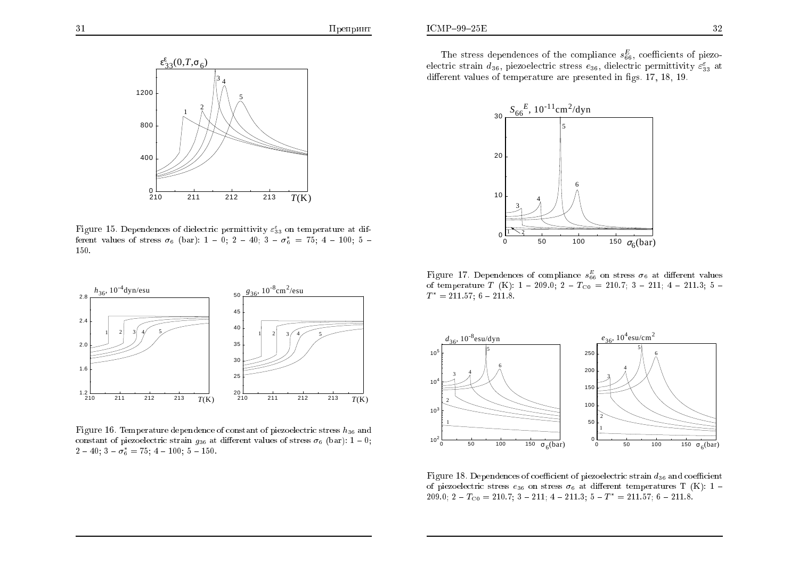

Figure 15. Dependences of dielectric permittivity  $\varepsilon_{33}^{\varepsilon}$  on temperature at different values of stress  $\sigma_6$  (bar): 1 – 0; 2 – 40; 3 –  $\sigma_6^* = 75$ ; 4 – 100; 5 – 150.



Figure 16. Temperature dependence of constant of piezoelectric stress  $h_{36}$  and constant of piezoelectric strain  $g_{36}$  at different values of stress  $\sigma_6$  (bar): 1 – 0;  $2-40$ ;  $3-\sigma_6^* = 75$ ;  $4-100$ ;  $5-150$ .

The stress dependences of the compliance  $s_{66}^E$ , coefficients of piezoelectric strain  $d_{36}$ , piezoelectric stress  $e_{36}$ , dielectric permittivity  $\varepsilon_{33}^{\varepsilon}$  at different values of temperature are presented in figs. 17, 18, 19.



Figure 17. Dependences of compliance  $s_{66}^E$  on stress  $\sigma_6$  at different values of temperature T (K):  $1 - 209.0$ ;  $2 - T_{C0} = 210.7$ ;  $3 - 211$ ;  $4 - 211.3$ ;  $5 T^* = 211.57; 6 - 211.8.$ 



Figure 18. Dependences of coefficient of piezoelectric strain  $d_{36}$  and coefficient of piezoelectric stress  $e_{36}$  on stress  $\sigma_6$  at different temperatures T (K): 1 -209.0;  $2 - T_{\text{C0}} = 210.7$ ;  $3 - 211$ ;  $4 - 211.3$ ;  $5 - T^* = 211.57$ ;  $6 - 211.8$ .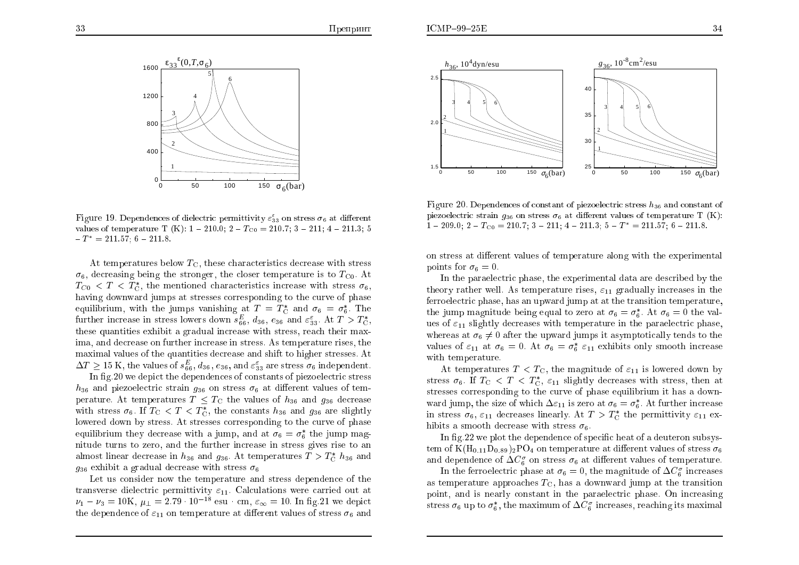

Figure 19. Dependences of dielectric permittivity  $\varepsilon_{33}^5$  on stress  $\sigma_6$  at different values of temperature T (K):  $1 - 210.0$ ;  $2 - T_{C0} = 210.7$ ;  $3 - 211$ ;  $4 - 211.3$ ; 5  $-T^* = 211.57$ ; 6 - 211.8.

At temperatures below  $T_{\text{C}}$ , these characteristics decrease with stress  $\sigma_6$ , decreasing being the stronger, the closer temperature is to  $T_{\rm CO}$ . At  $T_{C0}$  < T <  $T_{C}$ , the mentioned characteristics increase with stress  $\sigma_6$ , having downward jumps at stresses corresponding to the curve of phase equilibrium, with the jumps vanishing at  $T = T_{\rm C}^*$  and  $\sigma_6 = \sigma_6^*$ . The further increase in stress lowers down  $s_{66}^E$ ,  $d_{36}$ ,  $e_{36}$  and  $\varepsilon_{33}^{\varepsilon}$ . At  $T > T_{\rm C}^*$ , these quantities exhibit a gradual increase with stress, reach their maxima, and decrease on further increase in stress. As temperature rises, the maximal values of the quantities decrease and shift to higher stresses. At  $\Delta T \ge 15$  K, the values of  $s_{66}^E$ ,  $d_{36}$ ,  $e_{36}$ , and  $\varepsilon_{33}^{\varepsilon}$  are stress  $\sigma_6$  independent.

In fig.20 we depict the dependences of constants of piezoelectric stress  $h_{36}$  and piezoelectric strain  $g_{36}$  on stress  $\sigma_6$  at different values of temperature. At temperatures  $T < T_{\rm C}$  the values of  $h_{36}$  and  $g_{36}$  decrease with stress  $\sigma_6$ . If  $T_{\rm C} < T < T_{\rm C}^*$ , the constants  $h_{36}$  and  $g_{36}$  are slightly lowered down by stress. At stresses corresponding to the curve of phase equilibrium they decrease with a jump, and at  $\sigma_6 = \sigma_6^*$  the jump magnitude turns to zero, and the further increase in stress gives rise to an almost linear decrease in  $h_{36}$  and  $g_{36}$ . At temperatures  $T > T_c^* h_{36}$  and  $q_{36}$  exhibit a gradual decrease with stress  $\sigma_6$ 

Let us consider now the temperature and stress dependence of the transverse dielectric permittivity  $\varepsilon_{11}$ . Calculations were carried out at  $\nu_1 - \nu_3 = 10K$ ,  $\mu_1 = 2.79 \cdot 10^{-18}$  esu cm,  $\varepsilon_{\infty} = 10$ . In fig. 21 we depict the dependence of  $\varepsilon_{11}$  on temperature at different values of stress  $\sigma_6$  and



Figure 20. Dependences of constant of piezoelectric stress  $h_{36}$  and constant of piezoelectric strain  $q_{36}$  on stress  $\sigma_6$  at different values of temperature T (K):  $1 - 209.0$ ;  $2 - T_{C0} = 210.7$ ;  $3 - 211$ ;  $4 - 211.3$ ;  $5 - T^* = 211.57$ ;  $6 - 211.8$ .

on stress at different values of temperature along with the experimental points for  $\sigma_6 = 0$ .

In the paraelectric phase, the experimental data are described by the theory rather well. As temperature rises,  $\varepsilon_{11}$  gradually increases in the ferroelectric phase, has an upward jump at at the transition temperature. the jump magnitude being equal to zero at  $\sigma_6 = \sigma_6^*$ . At  $\sigma_6 = 0$  the values of  $\varepsilon_{11}$  slightly decreases with temperature in the paraelectric phase, whereas at  $\sigma_6 \neq 0$  after the upward jumps it asymptotically tends to the values of  $\varepsilon_{11}$  at  $\sigma_6 = 0$ . At  $\sigma_6 = \sigma_6^* \varepsilon_{11}$  exhibits only smooth increase with temperature.

At temperatures  $T < T_{\rm C}$ , the magnitude of  $\varepsilon_{11}$  is lowered down by stress  $\sigma_6$ . If  $T_{\rm C} < T < T_{\rm C}^*$ ,  $\varepsilon_{11}$  slightly decreases with stress, then at stresses corresponding to the curve of phase equilibrium it has a downward jump, the size of which  $\Delta \varepsilon_{11}$  is zero at  $\sigma_6 = \sigma_6^*$ . At further increase in stress  $\sigma_6$ ,  $\varepsilon_{11}$  decreases linearly. At  $T > T_C^*$  the permittivity  $\varepsilon_{11}$  exhibits a smooth decrease with stress  $\sigma_6$ .

In fig. 22 we plot the dependence of specific heat of a deuteron subsystem of  $K(H_{0.11}D_{0.89})_2PO_4$  on temperature at different values of stress  $\sigma_6$ and dependence of  $\Delta C_6^{\sigma}$  on stress  $\sigma_6$  at different values of temperature.

In the ferroelectric phase at  $\sigma_6 = 0$ , the magnitude of  $\Delta C_6^{\sigma}$  increases as temperature approaches  $T_{\rm C}$ , has a downward jump at the transition point, and is nearly constant in the paraelectric phase. On increasing stress  $\sigma_6$  up to  $\sigma_6^*$ , the maximum of  $\Delta C_6^{\sigma}$  increases, reaching its maximal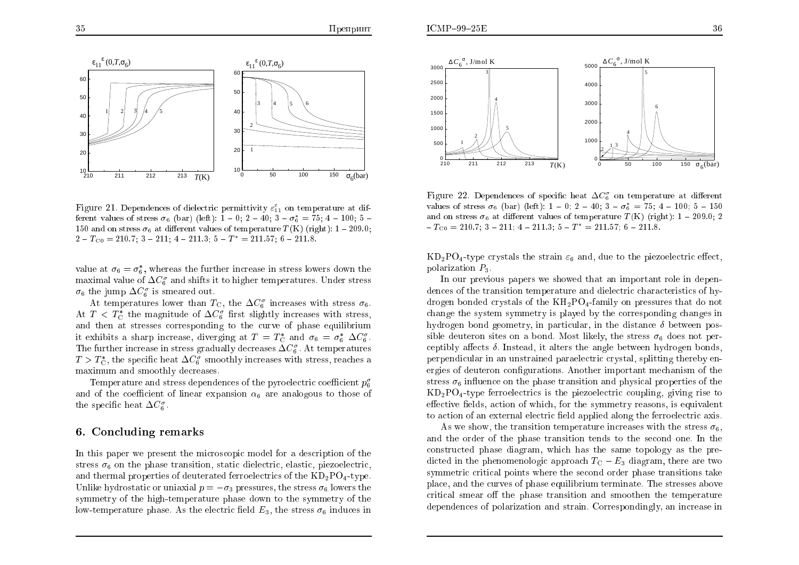

Figure 21. Dependences of dielectric permittivity  $\varepsilon_{11}^{\varepsilon}$  on temperature at different values of stress  $\sigma_6$  (bar) (left): 1 – 0; 2 – 40; 3 –  $\sigma_6^* = 75$ ; 4 – 100; 5 – 150 and on stress  $\sigma_6$  at different values of temperature  $T(K)$  (right): 1 – 209.0;  $2 - T_{\rm C0} = 210.7$ ;  $3 - 211$ ;  $4 - 211.3$ ;  $5 - T^* = 211.57$ ;  $6 - 211.8$ .

value at  $\sigma_6 = \sigma_6^*$ , whereas the further increase in stress lowers down the maximal value of  $\Delta C_6^{\sigma}$  and shifts it to higher temperatures. Under stress  $\sigma_6$  the jump  $\Delta C_6^{\sigma}$  is smeared out.

At temperatures lower than  $T_{\rm C}$ , the  $\Delta C_6^{\sigma}$  increases with stress  $\sigma_6$ . At  $T < T_{\rm C}^*$  the magnitude of  $\Delta C_6^{\sigma}$  first slightly increases with stress, and then at stresses corresponding to the curve of phase equilibrium it exhibits a sharp increase, diverging at  $T = T_c^*$  and  $\sigma_6 = \sigma_6^* \Delta C_6^{\sigma}$ . The further increase in stress gradually decreases  $\Delta C_6^{\sigma}$ . At temperatures  $T > T_{\rm C}^*$ , the specific heat  $\Delta C_6^{\sigma}$  smoothly increases with stress, reaches a maximum and smoothly decreases

Temperature and stress dependences of the pyroelectric coefficient  $p_{\rm g}^{\sigma}$ and of the coefficient of linear expansion  $\alpha_6$  are analogous to those of the specific heat  $\Delta C_6^{\sigma}$ .

#### 6. Concluding remarks

In this paper we present the microscopic model for a description of the stress  $\sigma_6$  on the phase transition, static dielectric, elastic, piezoelectric, and thermal properties of deuterated ferroelectrics of the  $KD_2PO_4$ -type. Unlike hydrostatic or uniaxial  $p = -\sigma_3$  pressures, the stress  $\sigma_6$  lowers the symmetry of the high-temperature phase down to the symmetry of the low-temperature phase. As the electric field  $E_3$ , the stress  $\sigma_6$  induces in



Figure 22. Dependences of specific heat  $\Delta C_6^{\sigma}$  on temperature at different values of stress  $\sigma_6$  (bar) (left): 1 – 0; 2 – 40; 3 –  $\sigma_6^* = 75$ ; 4 – 100; 5 – 150 and on stress  $\sigma_6$  at different values of temperature  $T(K)$  (right): 1 - 209.0; 2  $-T_{\rm CO} = 210.7; 3 - 211; 4 - 211.3; 5 - T^* = 211.57; 6 - 211.8.$ 

 $KD_2PO_4$ -type crystals the strain  $\varepsilon_6$  and, due to the piezoelectric effect. polarization  $P_3$ .

In our previous papers we showed that an important role in dependences of the transition temperature and dielectric characteristics of hydrogen bonded crystals of the  $KH_{2}PO_{4}$ -family on pressures that do not change the system symmetry is played by the corresponding changes in hydrogen bond geometry, in particular, in the distance  $\delta$  between possible deuteron sites on a bond. Most likely, the stress  $\sigma_6$  does not perceptibly affects  $\delta$ . Instead, it alters the angle between hydrogen bonds, perpendicular in an unstrained paraelectric crystal, splitting thereby energies of deuteron configurations. Another important mechanism of the stress  $\sigma_6$  influence on the phase transition and physical properties of the  $KD_2PO_4$ -type ferroelectrics is the piezoelectric coupling, giving rise to effective fields, action of which, for the symmetry reasons, is equivalent to action of an external electric field applied along the ferroelectric axis.

As we show, the transition temperature increases with the stress  $\sigma_6$ , and the order of the phase transition tends to the second one. In the constructed phase diagram, which has the same topology as the predicted in the phenomenologic approach  $T_{\rm C}-E_3$  diagram, there are two symmetric critical points where the second order phase transitions take place, and the curves of phase equilibrium terminate. The stresses above critical smear off the phase transition and smoothen the temperature dependences of polarization and strain. Correspondingly, an increase in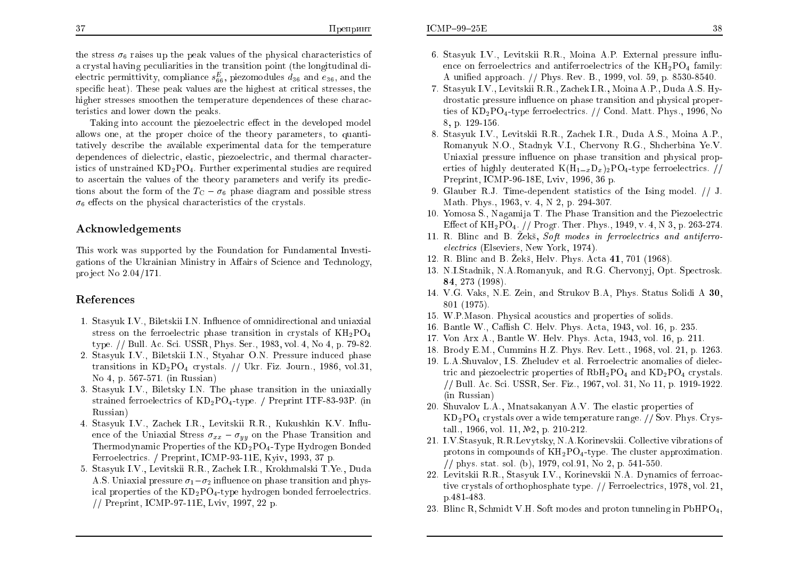the stress  $\sigma_6$  raises up the peak values of the physical characteristics of a crystal having peculiarities in the transition point (the longitudinal dielectric permittivity, compliance  $s_{66}^E$ , piezomodules  $d_{36}$  and  $e_{36}$ , and the specific heat). These peak values are the highest at critical stresses, the higher stresses smoothen the temperature dependences of these characteristics and lower down the peaks.

Taking into account the piezoelectric effect in the developed model allows one, at the proper choice of the theory parameters, to quantitatively describe the available experimental data for the temperature dependences of dielectric, elastic, piezoelectric, and thermal characteristics of unstrained  $KD_2PO_4$ . Further experimental studies are required to ascertain the values of the theory parameters and verify its predictions about the form of the  $T_{\rm C} - \sigma_6$  phase diagram and possible stress  $\sigma_6$  effects on the physical characteristics of the crystals.

# Acknowledgements

This work was supported by the Foundation for Fundamental Investigations of the Ukrainian Ministry in Affairs of Science and Technology, project No  $2.04/171$ .

### References

- 1. Stasyuk I.V., Biletskii I.N. Influence of omnidirectional and uniaxial stress on the ferroelectric phase transition in crystals of  $KH_{2}PO_{4}$ type. // Bull. Ac. Sci. USSR, Phys. Ser., 1983, vol. 4, No 4, p. 79-82.
- 2. Stasyuk I.V., Biletskii I.N., Styahar O.N. Pressure induced phase transitions in  $KD_2PO_4$  crystals. // Ukr. Fiz. Journ., 1986, vol.31, No 4, p. 567-571. (in Russian)
- 3. Stasyuk I.V., Biletsky I.N. The phase transition in the uniaxially strained ferroelectrics of  $KD_2PO_4$ -type. / Preprint ITF-83-93P. (in Russian)
- 4. Stasyuk I.V., Zachek I.R., Levitskii R.R., Kukushkin K.V. Influence of the Uniaxial Stress  $\sigma_{xx} - \sigma_{yy}$  on the Phase Transition and Thermodynamic Properties of the  $KD_2PO_4$ -Type Hydrogen Bonded Ferroelectrics. / Preprint, ICMP-93-11E, Kyiv, 1993, 37 p.
- 5. Stasyuk I.V., Levitskii R.R., Zachek I.R., Krokhmalski T.Ye., Duda A.S. Uniaxial pressure  $\sigma_1 - \sigma_2$  influence on phase transition and physical properties of the  $KD_2PO_4$ -type hydrogen bonded ferroelectrics. // Preprint, ICMP-97-11E, Lviv, 1997, 22 p.
- 6. Stasyuk I.V., Levitskii R.R., Moina A.P. External pressure influence on ferroelectrics and antiferroelectrics of the  $KH_{2}PO_{4}$  family: A unified approach. // Phys. Rev. B., 1999, vol. 59, p. 8530-8540.
- 7. Stasyuk I.V., Levitskii R.R., Zachek I.R., Moina A.P., Duda A.S. Hydrostatic pressure influence on phase transition and physical properties of  $KD_2PO_4$ -type ferroelectrics. // Cond. Matt. Phys., 1996, No 8. p. 129-156.
- 8. Stasyuk I.V., Levitskii R.R., Zachek I.R., Duda A.S., Moina A.P., Romanyuk N.O., Stadnyk V.I., Chervony R.G., Shcherbina Ye.V. Uniaxial pressure influence on phase transition and physical properties of highly deuterated  $K(H_{1-x}D_x)_2PQ_4$ -type ferroelectrics. // Preprint, ICMP-96-18E, Lviv, 1996, 36 p.
- 9. Glauber R.J. Time-dependent statistics of the Ising model. // J. Math. Phys., 1963, v. 4, N 2, p. 294-307.
- 10. Yomosa S., Nagamija T. The Phase Transition and the Piezoelectric Effect of  $KH_2PO_4$ , // Progr. Ther. Phys., 1949, v. 4, N 3, p. 263-274.
- 11. R. Blinc and B. Zeks, Soft modes in ferroelectrics and antiferro*electrics* (Elseviers, New York, 1974).
- 12. R. Blinc and B. Žekš, Helv. Phys. Acta 41, 701 (1968).
- 13. N.I.Stadnik, N.A.Romanyuk, and R.G. Chervonyj, Opt. Spectrosk. 84, 273 (1998).
- 14. V.G. Vaks, N.E. Zein, and Strukov B.A. Phys. Status Solidi A 30. 801 (1975).
- 15. W.P.Mason. Physical acoustics and properties of solids.
- 16. Bantle W., Caflish C. Helv. Phys. Acta, 1943, vol. 16, p. 235.
- 17. Von Arx A., Bantle W. Helv. Phys. Acta, 1943, vol. 16, p. 211.
- 18. Brody E.M., Cummins H.Z. Phys. Rev. Lett., 1968, vol. 21, p. 1263.
- 19. L.A.Shuvalov, I.S. Zheludev et al. Ferroelectric anomalies of dielectric and piezoelectric properties of  $RbH_2PO_4$  and  $KD_2PO_4$  crystals. // Bull. Ac. Sci. USSR, Ser. Fiz., 1967, vol. 31, No 11, p. 1919-1922. (in Russian)
- 20. Shuvalov L.A., Mnatsakanyan A.V. The elastic properties of  $KD_2PO_4$  crystals over a wide temperature range. // Sov. Phys. Crystall., 1966, vol. 11,  $\mathcal{N}2$ , p. 210-212.
- 21. I.V.Stasyuk, R.R.Levytsky, N.A.Korinevskii. Collective vibrations of protons in compounds of  $KH_2PO_4$ -type. The cluster approximation. // phys. stat. sol. (b), 1979, col.91, No 2, p. 541-550.
- 22. Levitskii R.R., Stasyuk I.V., Korinevskii N.A. Dynamics of ferroactive crystals of orthophosphate type. // Ferroelectrics, 1978, vol. 21, p. 481-483.
- 23. Blinc R, Schmidt V.H. Soft modes and proton tunneling in  $PbHPO<sub>4</sub>$ ,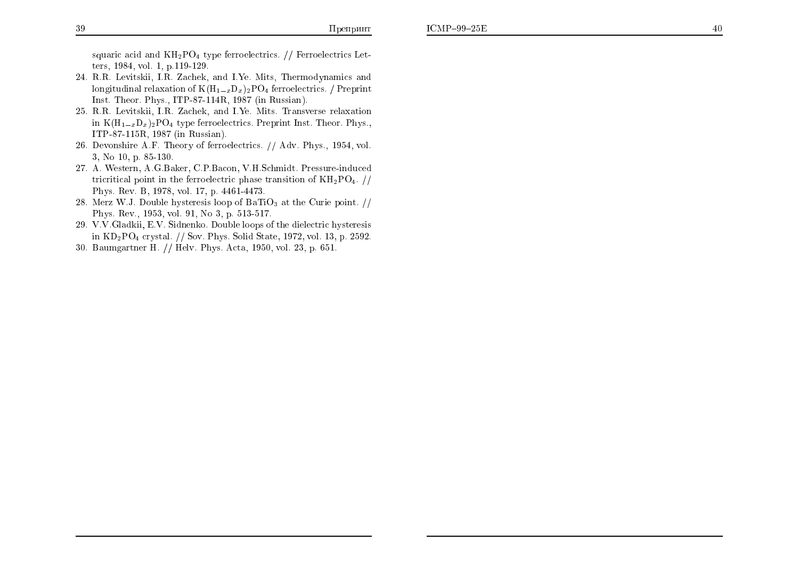squaric acid and  $KH_2PO_4$  type ferroelectrics. // Ferroelectrics Letters, 1984, vol. 1, p.119-129.

- 24. R.R. Levitskii, I.R. Zachek, and I.Ye. Mits, Thermodynamics and longitudinal relaxation of  $K(H_{1-x}D_x)_2PO_4$  ferroelectrics. / Preprint Inst. Theor. Phys., ITP-87-114R, 1987 (in Russian).
- 25. R.R. Levitskii, I.R. Zachek, and I.Ye. Mits. Transverse relaxation in  $K(H_{1-x}D_x)_2PO_4$  type ferroelectrics. Preprint Inst. Theor. Phys., ITP-87-115R, 1987 (in Russian).
- 26. Devonshire A.F. Theory of ferroelectrics. // Adv. Phys., 1954, vol. 3, No 10, p. 85-130.
- 27. A. Western, A.G.Baker, C.P.Bacon, V.H.Schmidt. Pressure-induced tricritical point in the ferroelectric phase transition of  $KH_2PO_4$ . // Phys. Rev. B, 1978, vol. 17, p. 4461-4473.
- 28. Merz W.J. Double hysteresis loop of  $BaTiO<sub>3</sub>$  at the Curie point. // Phys. Rev., 1953, vol. 91, No 3, p. 513-517.
- 29. V.V. Gladkii, E.V. Sidnenko. Double loops of the dielectric hysteresis in  $KD_2PO_4$  crystal. // Sov. Phys. Solid State, 1972, vol. 13, p. 2592.
- 30. Baumgartner H. // Hely. Phys. Acta, 1950, vol. 23, p. 651.